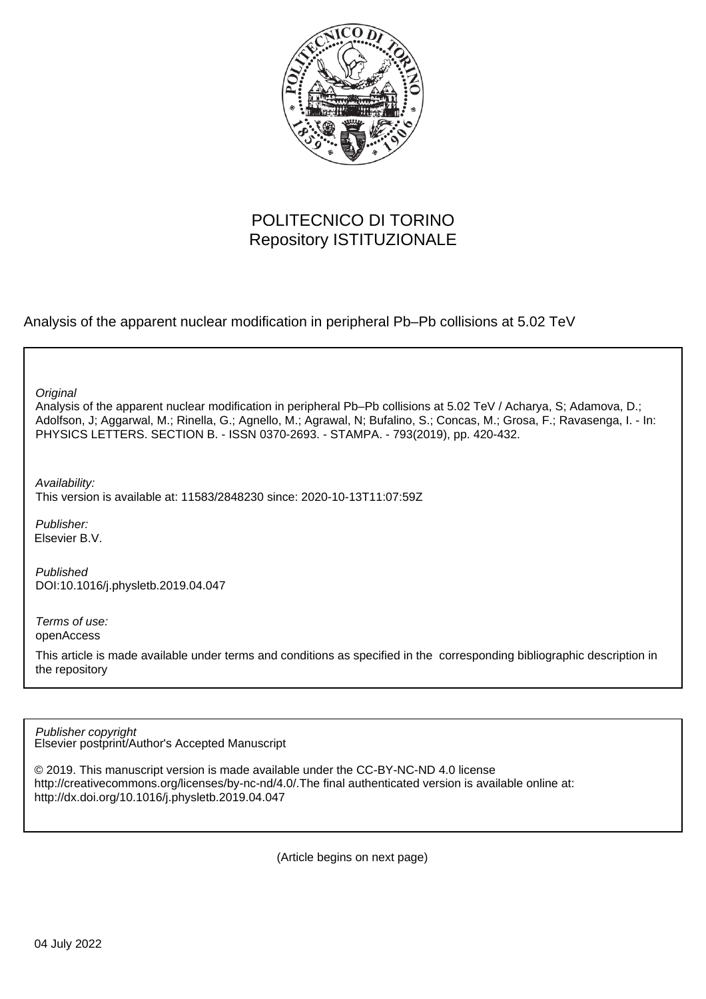

# POLITECNICO DI TORINO Repository ISTITUZIONALE

Analysis of the apparent nuclear modification in peripheral Pb–Pb collisions at 5.02 TeV

**Original** 

Analysis of the apparent nuclear modification in peripheral Pb–Pb collisions at 5.02 TeV / Acharya, S; Adamova, D.; Adolfson, J; Aggarwal, M.; Rinella, G.; Agnello, M.; Agrawal, N; Bufalino, S.; Concas, M.; Grosa, F.; Ravasenga, I. - In: PHYSICS LETTERS. SECTION B. - ISSN 0370-2693. - STAMPA. - 793(2019), pp. 420-432.

Availability:

This version is available at: 11583/2848230 since: 2020-10-13T11:07:59Z

Publisher: Elsevier B.V.

Published DOI:10.1016/j.physletb.2019.04.047

Terms of use: openAccess

This article is made available under terms and conditions as specified in the corresponding bibliographic description in the repository

Elsevier postprint/Author's Accepted Manuscript Publisher copyright

© 2019. This manuscript version is made available under the CC-BY-NC-ND 4.0 license http://creativecommons.org/licenses/by-nc-nd/4.0/.The final authenticated version is available online at: http://dx.doi.org/10.1016/j.physletb.2019.04.047

(Article begins on next page)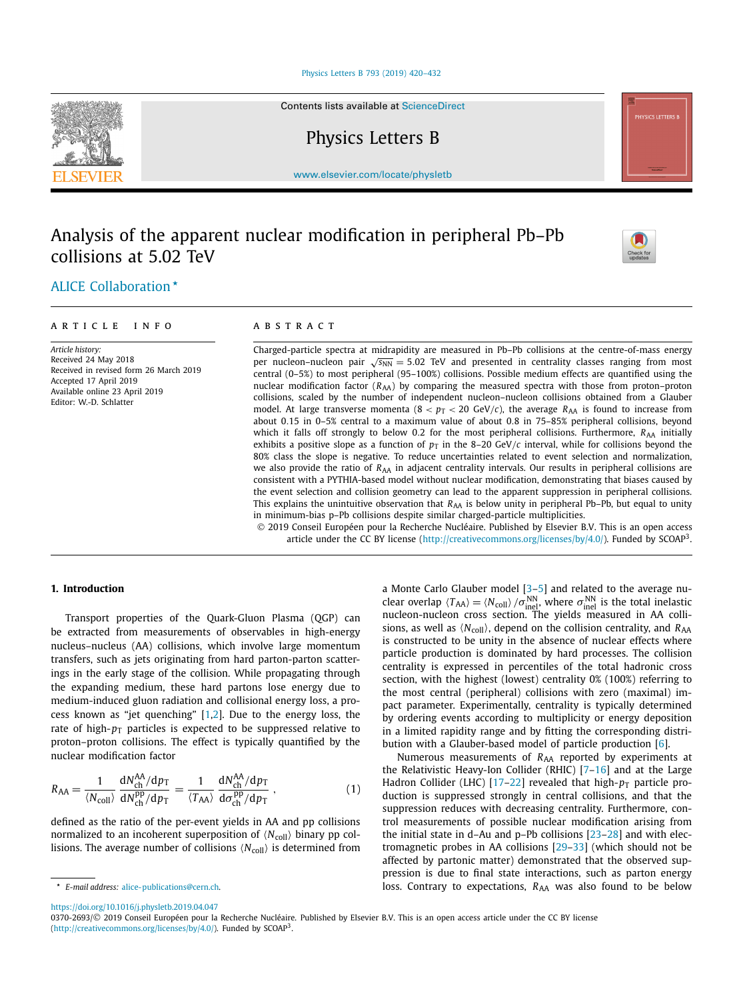#### [Physics Letters B 793 \(2019\) 420–432](https://doi.org/10.1016/j.physletb.2019.04.047)

Contents lists available at [ScienceDirect](http://www.ScienceDirect.com/)

Physics Letters B

[www.elsevier.com/locate/physletb](http://www.elsevier.com/locate/physletb)

# Analysis of the apparent nuclear modification in peripheral Pb–Pb collisions at 5.02 TeV



## .ALICE Collaboration *-*

#### A R T I C L E I N F O A B S T R A C T

*Article history:* Received 24 May 2018 Received in revised form 26 March 2019 Accepted 17 April 2019 Available online 23 April 2019 Editor: W.-D. Schlatter

Charged-particle spectra at midrapidity are measured in Pb–Pb collisions at the centre-of-mass energy per nucleon–nucleon pair  $\sqrt{s_{NN}}$  = 5.02 TeV and presented in centrality classes ranging from most central (0–5%) to most peripheral (95–100%) collisions. Possible medium effects are quantified using the nuclear modification factor ( $R_{AA}$ ) by comparing the measured spectra with those from proton–proton collisions, scaled by the number of independent nucleon–nucleon collisions obtained from a Glauber model. At large transverse momenta ( $8 < p_T < 20$  GeV/*c*), the average  $R_{AA}$  is found to increase from about 0*.*15 in 0–5% central to a maximum value of about 0*.*8 in 75–85% peripheral collisions, beyond which it falls off strongly to below 0.2 for the most peripheral collisions. Furthermore,  $R_{AA}$  initially exhibits a positive slope as a function of  $p<sub>T</sub>$  in the 8-20 GeV/ $c$  interval, while for collisions beyond the 80% class the slope is negative. To reduce uncertainties related to event selection and normalization, we also provide the ratio of *R*<sub>AA</sub> in adjacent centrality intervals. Our results in peripheral collisions are consistent with a PYTHIA-based model without nuclear modification, demonstrating that biases caused by the event selection and collision geometry can lead to the apparent suppression in peripheral collisions. This explains the unintuitive observation that *R*<sub>AA</sub> is below unity in peripheral Pb–Pb, but equal to unity in minimum-bias p–Pb collisions despite similar charged-particle multiplicities.

© 2019 Conseil Européen pour la Recherche Nucléaire. Published by Elsevier B.V. This is an open access article under the CC BY license [\(http://creativecommons.org/licenses/by/4.0/\)](http://creativecommons.org/licenses/by/4.0/). Funded by SCOAP3.

### **1. Introduction**

Transport properties of the Quark-Gluon Plasma (QGP) can be extracted from measurements of observables in high-energy nucleus–nucleus (AA) collisions, which involve large momentum transfers, such as jets originating from hard parton-parton scatterings in the early stage of the collision. While propagating through the expanding medium, these hard partons lose energy due to medium-induced gluon radiation and collisional energy loss, a process known as "jet quenching" [1,2]. Due to the energy loss, the rate of high- $p_T$  particles is expected to be suppressed relative to proton–proton collisions. The effect is typically quantified by the nuclear modification factor

$$
R_{AA} = \frac{1}{\langle N_{\text{coll}} \rangle} \frac{dN_{\text{ch}}^{AA} / dp_{\text{T}}}{dN_{\text{ch}}^{pp} / dp_{\text{T}}} = \frac{1}{\langle T_{AA} \rangle} \frac{dN_{\text{ch}}^{AA} / dp_{\text{T}}}{d\sigma_{\text{ch}}^{pp} / dp_{\text{T}}},
$$
(1)

defined as the ratio of the per-event yields in AA and pp collisions normalized to an incoherent superposition of  $\langle N_{\text{coll}} \rangle$  binary pp collisions. The average number of collisions  $\langle N_{\text{coll}} \rangle$  is determined from

a Monte Carlo Glauber model [3–5] and related to the average nuclear overlap  $\langle T_{AA} \rangle = \langle N_{\text{coll}} \rangle / \sigma_{\text{inel}}^{\text{NN}}$ , where  $\sigma_{\text{inel}}^{\text{NN}}$  is the total inelastic nucleon-nucleon cross section. The yields measured in AA collisions, as well as  $\langle N_{\text{coll}}\rangle$ , depend on the collision centrality, and  $R_{AA}$ is constructed to be unity in the absence of nuclear effects where particle production is dominated by hard processes. The collision centrality is expressed in percentiles of the total hadronic cross section, with the highest (lowest) centrality 0% (100%) referring to the most central (peripheral) collisions with zero (maximal) impact parameter. Experimentally, centrality is typically determined by ordering events according to multiplicity or energy deposition in a limited rapidity range and by fitting the corresponding distribution with a Glauber-based model of particle production [6].

Numerous measurements of R<sub>AA</sub> reported by experiments at the Relativistic Heavy-Ion Collider (RHIC) [7–16] and at the Large Hadron Collider (LHC)  $[17-22]$  revealed that high- $p_T$  particle production is suppressed strongly in central collisions, and that the suppression reduces with decreasing centrality. Furthermore, control measurements of possible nuclear modification arising from the initial state in d–Au and p–Pb collisions [23–28] and with electromagnetic probes in AA collisions [29–33] (which should not be affected by partonic matter) demonstrated that the observed suppression is due to final state interactions, such as parton energy loss. Contrary to expectations, R<sub>AA</sub> was also found to be below

<https://doi.org/10.1016/j.physletb.2019.04.047>

0370-2693/© 2019 Conseil Européen pour la Recherche Nucléaire. Published by Elsevier B.V. This is an open access article under the CC BY license [\(http://creativecommons.org/licenses/by/4.0/\)](http://creativecommons.org/licenses/by/4.0/). Funded by SCOAP<sup>3</sup>.



*<sup>-</sup> E-mail address:* [alice-publications@cern.ch](mailto:alice-publications@cern.ch).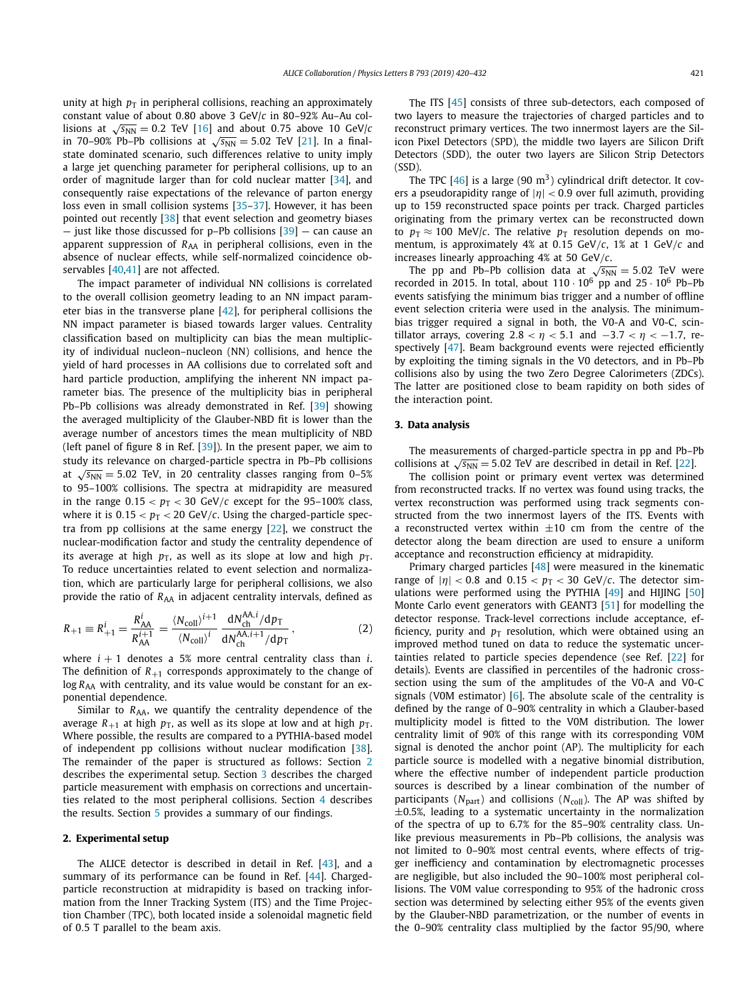unity at high  $p<sub>T</sub>$  in peripheral collisions, reaching an approximately constant value of about 0*.*80 above 3 GeV/*c* in 80–92% Au–Au collisions at  $\sqrt{s_{NN}} = 0.2$  TeV [16] and about 0.75 above 10 GeV/*c* in 70–90% Pb–Pb collisions at  $\sqrt{s_{NN}}$  = 5.02 TeV [21]. In a finalstate dominated scenario, such differences relative to unity imply a large jet quenching parameter for peripheral collisions, up to an order of magnitude larger than for cold nuclear matter [34], and consequently raise expectations of the relevance of parton energy loss even in small collision systems [35–37]. However, it has been pointed out recently [38] that event selection and geometry biases  $-$  just like those discussed for p-Pb collisions  $[39]$  – can cause an apparent suppression of R<sub>AA</sub> in peripheral collisions, even in the absence of nuclear effects, while self-normalized coincidence observables [40,41] are not affected.

The impact parameter of individual NN collisions is correlated to the overall collision geometry leading to an NN impact parameter bias in the transverse plane [42], for peripheral collisions the NN impact parameter is biased towards larger values. Centrality classification based on multiplicity can bias the mean multiplicity of individual nucleon–nucleon (NN) collisions, and hence the yield of hard processes in AA collisions due to correlated soft and hard particle production, amplifying the inherent NN impact parameter bias. The presence of the multiplicity bias in peripheral Pb–Pb collisions was already demonstrated in Ref. [39] showing the averaged multiplicity of the Glauber-NBD fit is lower than the average number of ancestors times the mean multiplicity of NBD (left panel of figure 8 in Ref. [39]). In the present paper, we aim to study its relevance on charged-particle spectra in Pb–Pb collisions at  $\sqrt{s_{NN}}$  = 5.02 TeV, in 20 centrality classes ranging from 0–5% to 95–100% collisions. The spectra at midrapidity are measured in the range  $0.15 < p_T < 30$  GeV/*c* except for the 95–100% class, where it is  $0.15 < p_T < 20$  GeV/c. Using the charged-particle spectra from pp collisions at the same energy [22], we construct the nuclear-modification factor and study the centrality dependence of its average at high  $p<sub>T</sub>$ , as well as its slope at low and high  $p<sub>T</sub>$ . To reduce uncertainties related to event selection and normalization, which are particularly large for peripheral collisions, we also provide the ratio of R<sub>AA</sub> in adjacent centrality intervals, defined as

$$
R_{+1} \equiv R_{+1}^{i} = \frac{R_{AA}^{i}}{R_{AA}^{i+1}} = \frac{\langle N_{\text{coll}}\rangle^{i+1}}{\langle N_{\text{coll}}\rangle^{i}} \frac{dN_{\text{ch}}^{AA,i}/dp_{\text{T}}}{dN_{\text{ch}}^{AA,i+1}/dp_{\text{T}}},\tag{2}
$$

where  $i + 1$  denotes a 5% more central centrality class than *i*. The definition of  $R_{+1}$  corresponds approximately to the change of log R<sub>AA</sub> with centrality, and its value would be constant for an exponential dependence.

Similar to  $R_{AA}$ , we quantify the centrality dependence of the average  $R_{+1}$  at high  $p_{\text{T}}$ , as well as its slope at low and at high  $p_{\text{T}}$ . Where possible, the results are compared to a PYTHIA-based model of independent pp collisions without nuclear modification [38]. The remainder of the paper is structured as follows: Section 2 describes the experimental setup. Section 3 describes the charged particle measurement with emphasis on corrections and uncertainties related to the most peripheral collisions. Section 4 describes the results. Section 5 provides a summary of our findings.

#### **2. Experimental setup**

The ALICE detector is described in detail in Ref. [43], and a summary of its performance can be found in Ref. [44]. Chargedparticle reconstruction at midrapidity is based on tracking information from the Inner Tracking System (ITS) and the Time Projection Chamber (TPC), both located inside a solenoidal magnetic field of 0*.*5 T parallel to the beam axis.

The ITS [45] consists of three sub-detectors, each composed of two layers to measure the trajectories of charged particles and to reconstruct primary vertices. The two innermost layers are the Silicon Pixel Detectors (SPD), the middle two layers are Silicon Drift Detectors (SDD), the outer two layers are Silicon Strip Detectors (SSD).

The TPC  $[46]$  is a large (90 m<sup>3</sup>) cylindrical drift detector. It covers <sup>a</sup> pseudorapidity range of |*η*| *<* <sup>0</sup>*.*9 over full azimuth, providing up to 159 reconstructed space points per track. Charged particles originating from the primary vertex can be reconstructed down to  $p_T \approx 100$  MeV/*c*. The relative  $p_T$  resolution depends on momentum, is approximately 4% at 0*.*15 GeV*/c*, 1% at 1 GeV*/c* and increases linearly approaching 4% at 50 GeV*/c*.

The pp and Pb–Pb collision data at  $\sqrt{s_{NN}} = 5.02$  TeV were recorded in 2015. In total, about  $110 \cdot 10^6$  pp and  $25 \cdot 10^6$  Pb–Pb events satisfying the minimum bias trigger and a number of offline event selection criteria were used in the analysis. The minimumbias trigger required a signal in both, the V0-A and V0-C, scintillator arrays, covering  $2.8 < \eta < 5.1$  and  $-3.7 < \eta < -1.7$ , respectively [47]. Beam background events were rejected efficiently by exploiting the timing signals in the V0 detectors, and in Pb–Pb collisions also by using the two Zero Degree Calorimeters (ZDCs). The latter are positioned close to beam rapidity on both sides of the interaction point.

#### **3. Data analysis**

The measurements of charged-particle spectra in pp and Pb–Pb collisions at  $\sqrt{s_{NN}}$  = 5.02 TeV are described in detail in Ref. [22].

The collision point or primary event vertex was determined from reconstructed tracks. If no vertex was found using tracks, the vertex reconstruction was performed using track segments constructed from the two innermost layers of the ITS. Events with a reconstructed vertex within  $\pm 10$  cm from the centre of the detector along the beam direction are used to ensure a uniform acceptance and reconstruction efficiency at midrapidity.

Primary charged particles [48] were measured in the kinematic range of  $|\eta| < 0.8$  and  $0.15 < p_T < 30$  GeV/*c*. The detector simulations were performed using the PYTHIA [49] and HIJING [50] Monte Carlo event generators with GEANT3 [51] for modelling the detector response. Track-level corrections include acceptance, efficiency, purity and  $p_T$  resolution, which were obtained using an improved method tuned on data to reduce the systematic uncertainties related to particle species dependence (see Ref. [22] for details). Events are classified in percentiles of the hadronic crosssection using the sum of the amplitudes of the V0-A and V0-C signals (V0M estimator) [6]. The absolute scale of the centrality is defined by the range of 0–90% centrality in which a Glauber-based multiplicity model is fitted to the V0M distribution. The lower centrality limit of 90% of this range with its corresponding V0M signal is denoted the anchor point (AP). The multiplicity for each particle source is modelled with a negative binomial distribution, where the effective number of independent particle production sources is described by a linear combination of the number of participants ( $N_{part}$ ) and collisions ( $N_{coll}$ ). The AP was shifted by  $\pm 0.5$ %, leading to a systematic uncertainty in the normalization of the spectra of up to 6.7% for the 85–90% centrality class. Unlike previous measurements in Pb–Pb collisions, the analysis was not limited to 0–90% most central events, where effects of trigger inefficiency and contamination by electromagnetic processes are negligible, but also included the 90–100% most peripheral collisions. The V0M value corresponding to 95% of the hadronic cross section was determined by selecting either 95% of the events given by the Glauber-NBD parametrization, or the number of events in the 0–90% centrality class multiplied by the factor 95/90, where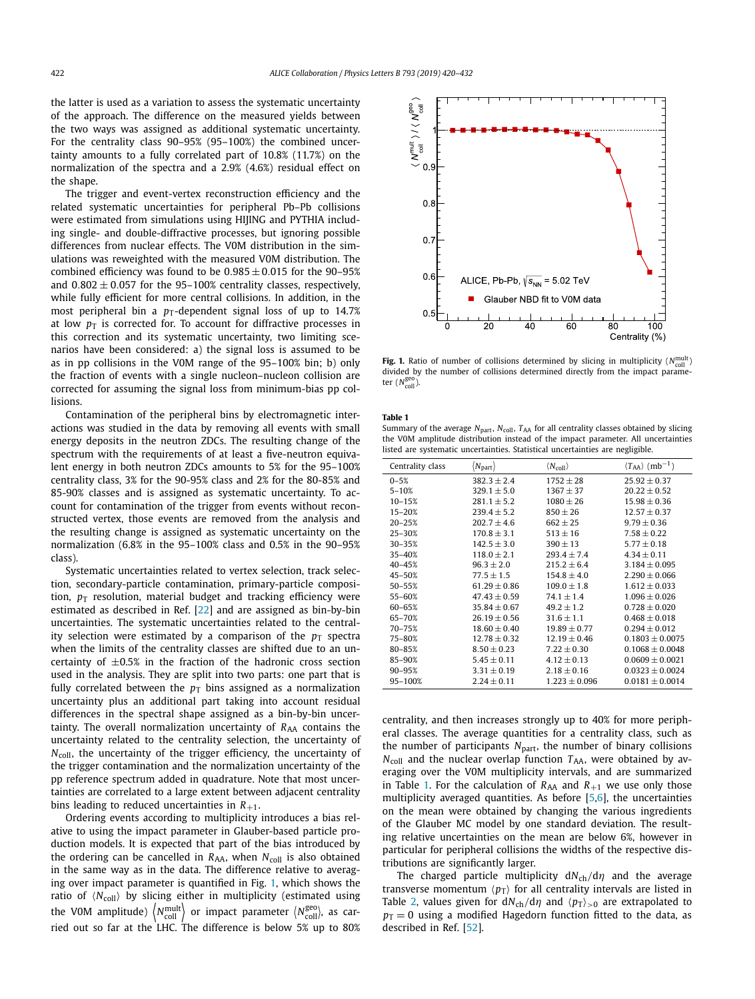the latter is used as a variation to assess the systematic uncertainty of the approach. The difference on the measured yields between the two ways was assigned as additional systematic uncertainty. For the centrality class 90–95% (95–100%) the combined uncertainty amounts to a fully correlated part of 10.8% (11.7%) on the normalization of the spectra and a 2.9% (4.6%) residual effect on the shape.

The trigger and event-vertex reconstruction efficiency and the related systematic uncertainties for peripheral Pb–Pb collisions were estimated from simulations using HIJING and PYTHIA including single- and double-diffractive processes, but ignoring possible differences from nuclear effects. The V0M distribution in the simulations was reweighted with the measured V0M distribution. The combined efficiency was found to be  $0.985 \pm 0.015$  for the 90-95% and  $0.802 \pm 0.057$  for the 95–100% centrality classes, respectively, while fully efficient for more central collisions. In addition, in the most peripheral bin a  $p_T$ -dependent signal loss of up to 14.7% at low  $p_T$  is corrected for. To account for diffractive processes in this correction and its systematic uncertainty, two limiting scenarios have been considered: a) the signal loss is assumed to be as in pp collisions in the V0M range of the 95–100% bin; b) only the fraction of events with a single nucleon–nucleon collision are corrected for assuming the signal loss from minimum-bias pp collisions.

Contamination of the peripheral bins by electromagnetic interactions was studied in the data by removing all events with small energy deposits in the neutron ZDCs. The resulting change of the spectrum with the requirements of at least a five-neutron equivalent energy in both neutron ZDCs amounts to 5% for the 95–100% centrality class, 3% for the 90-95% class and 2% for the 80-85% and 85-90% classes and is assigned as systematic uncertainty. To account for contamination of the trigger from events without reconstructed vertex, those events are removed from the analysis and the resulting change is assigned as systematic uncertainty on the normalization (6.8% in the 95–100% class and 0.5% in the 90–95% class).

Systematic uncertainties related to vertex selection, track selection, secondary-particle contamination, primary-particle composition,  $p_T$  resolution, material budget and tracking efficiency were estimated as described in Ref. [22] and are assigned as bin-by-bin uncertainties. The systematic uncertainties related to the centrality selection were estimated by a comparison of the  $p_T$  spectra when the limits of the centrality classes are shifted due to an uncertainty of  $\pm 0.5$ % in the fraction of the hadronic cross section used in the analysis. They are split into two parts: one part that is fully correlated between the  $p<sub>T</sub>$  bins assigned as a normalization uncertainty plus an additional part taking into account residual differences in the spectral shape assigned as a bin-by-bin uncertainty. The overall normalization uncertainty of R<sub>AA</sub> contains the uncertainty related to the centrality selection, the uncertainty of *N*<sub>coll</sub>, the uncertainty of the trigger efficiency, the uncertainty of the trigger contamination and the normalization uncertainty of the pp reference spectrum added in quadrature. Note that most uncertainties are correlated to a large extent between adjacent centrality bins leading to reduced uncertainties in  $R_{+1}$ .

Ordering events according to multiplicity introduces a bias relative to using the impact parameter in Glauber-based particle production models. It is expected that part of the bias introduced by the ordering can be cancelled in  $R_{AA}$ , when  $N_{coll}$  is also obtained in the same way as in the data. The difference relative to averaging over impact parameter is quantified in Fig. 1, which shows the ratio of  $\langle N_{\text{coll}} \rangle$  by slicing either in multiplicity (estimated using the V0M amplitude)  $\left\langle N_{\rm coll}^{\rm mult} \right\rangle$  or impact parameter  $\left\langle N_{\rm coll}^{\rm geo} \right\rangle$ , as carried out so far at the LHC. The difference is below 5% up to 80%



**Fig. 1.** Ratio of number of collisions determined by slicing in multiplicity ( $N_{\text{coll}}^{\text{mult}}$ ) divided by the number of collisions determined directly from the impact parameter (N<sub>coll</sub>).

#### **Table 1**

Summary of the average *N*<sub>part</sub>, *N*<sub>coll</sub>, *T*<sub>AA</sub> for all centrality classes obtained by slicing the V0M amplitude distribution instead of the impact parameter. All uncertainties listed are systematic uncertainties. Statistical uncertainties are negligible.

| Centrality class | $(N_{part})$     | $\langle N_{\rm coll} \rangle$ | $\langle T_{AA} \rangle$ (mb <sup>-1</sup> ) |
|------------------|------------------|--------------------------------|----------------------------------------------|
| $0 - 5%$         | $382.3 \pm 2.4$  | $1752 \pm 28$                  | $25.92 \pm 0.37$                             |
| $5 - 10%$        | $329.1 \pm 5.0$  | $1367 \pm 37$                  | $20.22 \pm 0.52$                             |
| $10 - 15%$       | $281.1 + 5.2$    | $1080 + 26$                    | $15.98 + 0.36$                               |
| 15-20%           | $239.4 + 5.2$    | $850 \pm 26$                   | $12.57 + 0.37$                               |
| $20 - 25%$       | $202.7 + 4.6$    | $662 + 25$                     | $9.79 \pm 0.36$                              |
| 25-30%           | $170.8 \pm 3.1$  | $513 \pm 16$                   | $7.58 \pm 0.22$                              |
| 30-35%           | $142.5 \pm 3.0$  | $390 \pm 13$                   | $5.77 \pm 0.18$                              |
| 35-40%           | $118.0 \pm 2.1$  | $293.4 + 7.4$                  | $4.34 + 0.11$                                |
| $40 - 45%$       | $96.3 + 2.0$     | $215.2 + 6.4$                  | $3.184 + 0.095$                              |
| 45-50%           | $77.5 + 1.5$     | $154.8 + 4.0$                  | $2.290 \pm 0.066$                            |
| 50-55%           | $61.29 + 0.86$   | $109.0 + 1.8$                  | $1.612 + 0.033$                              |
| 55-60%           | $47.43 \pm 0.59$ | $74.1 + 1.4$                   | $1.096 \pm 0.026$                            |
| 60-65%           | $35.84 + 0.67$   | $49.2 + 1.2$                   | $0.728 + 0.020$                              |
| 65-70%           | $26.19 + 0.56$   | $31.6 + 1.1$                   | $0.468 + 0.018$                              |
| 70-75%           | $18.60 \pm 0.40$ | $19.89 \pm 0.77$               | $0.294 + 0.012$                              |
| 75-80%           | $12.78 + 0.32$   | $12.19 + 0.46$                 | $0.1803 + 0.0075$                            |
| 80-85%           | $8.50 + 0.23$    | $7.22 + 0.30$                  | $0.1068 + 0.0048$                            |
| 85-90%           | $5.45 + 0.11$    | $4.12 + 0.13$                  | $0.0609 + 0.0021$                            |
| 90-95%           | $3.31 + 0.19$    | $2.18 \pm 0.16$                | $0.0323 + 0.0024$                            |
| 95-100%          | $2.24 \pm 0.11$  | $1.223 \pm 0.096$              | $0.0181 \pm 0.0014$                          |

centrality, and then increases strongly up to 40% for more peripheral classes. The average quantities for a centrality class, such as the number of participants *N*part, the number of binary collisions  $N_{\text{coll}}$  and the nuclear overlap function  $T_{\text{AA}}$ , were obtained by averaging over the V0M multiplicity intervals, and are summarized in Table 1. For the calculation of  $R_{AA}$  and  $R_{+1}$  we use only those multiplicity averaged quantities. As before  $[5,6]$ , the uncertainties on the mean were obtained by changing the various ingredients of the Glauber MC model by one standard deviation. The resulting relative uncertainties on the mean are below 6%, however in particular for peripheral collisions the widths of the respective distributions are significantly larger.

The charged particle multiplicity d*N*ch*/*d*η* and the average transverse momentum  $\langle p_T \rangle$  for all centrality intervals are listed in Table 2, values given for  $dN_{ch}/d\eta$  and  $\langle p_T \rangle_{>0}$  are extrapolated to  $p_T = 0$  using a modified Hagedorn function fitted to the data, as described in Ref. [52].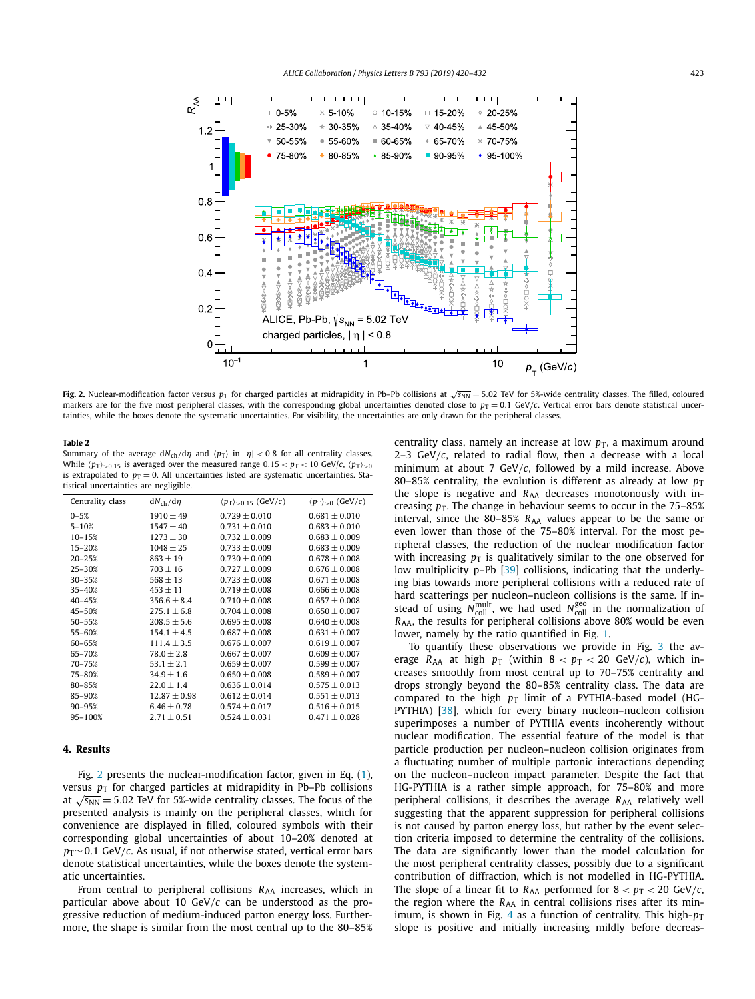

**Fig. 2.** Nuclear-modification factor versus  $p_T$  for charged particles at midrapidity in Pb–Pb collisions at  $\sqrt{s_{NN}}$  = 5.02 TeV for 5%-wide centrality classes. The filled, coloured markers are for the five most peripheral classes, with the corresponding global uncertainties denoted close to  $p_T = 0.1$  GeV/*c*. Vertical error bars denote statistical uncertainties, while the boxes denote the systematic uncertainties. For visibility, the uncertainties are only drawn for the peripheral classes.

#### **Table 2**

Summary of the average  $dN_{ch}/d\eta$  and  $\langle p_T \rangle$  in  $|\eta| < 0.8$  for all centrality classes. While  $\langle p_T \rangle_{>0.15}$  is averaged over the measured range  $0.15 < p_T < 10$  GeV/*c*,  $\langle p_T \rangle_{>0}$ is extrapolated to  $p_T = 0$ . All uncertainties listed are systematic uncertainties. Statistical uncertainties are negligible.

| Centrality class | $dN_{ch}/d\eta$  | $\langle p_{\text{T}} \rangle_{>0.15}$ (GeV/c) | $\langle p_T \rangle_{>0}$ (GeV/c) |
|------------------|------------------|------------------------------------------------|------------------------------------|
| $0 - 5%$         | $1910 \pm 49$    | $0.729 \pm 0.010$                              | $0.681 \pm 0.010$                  |
| $5 - 10%$        | $1547 \pm 40$    | $0.731 \pm 0.010$                              | $0.683 \pm 0.010$                  |
| 10-15%           | $1273 \pm 30$    | $0.732 \pm 0.009$                              | $0.683 \pm 0.009$                  |
| 15-20%           | $1048 \pm 25$    | $0.733 \pm 0.009$                              | $0.683 \pm 0.009$                  |
| 20-25%           | $863 \pm 19$     | $0.730 \pm 0.009$                              | $0.678 \pm 0.008$                  |
| 25-30%           | $703 \pm 16$     | $0.727 + 0.009$                                | $0.676 \pm 0.008$                  |
| 30-35%           | $568 \pm 13$     | $0.723 + 0.008$                                | $0.671 \pm 0.008$                  |
| 35-40%           | $453 \pm 11$     | $0.719 + 0.008$                                | $0.666 \pm 0.008$                  |
| 40-45%           | $356.6 + 8.4$    | $0.710 + 0.008$                                | $0.657 \pm 0.008$                  |
| 45-50%           | $275.1 \pm 6.8$  | $0.704 \pm 0.008$                              | $0.650 \pm 0.007$                  |
| 50-55%           | $208.5 \pm 5.6$  | $0.695 \pm 0.008$                              | $0.640 \pm 0.008$                  |
| 55-60%           | $154.1 \pm 4.5$  | $0.687 \pm 0.008$                              | $0.631 \pm 0.007$                  |
| 60-65%           | $111.4 + 3.5$    | $0.676 \pm 0.007$                              | $0.619 \pm 0.007$                  |
| 65-70%           | $78.0 \pm 2.8$   | $0.667 \pm 0.007$                              | $0.609 \pm 0.007$                  |
| 70-75%           | $53.1 \pm 2.1$   | $0.659 \pm 0.007$                              | $0.599 \pm 0.007$                  |
| 75-80%           | $34.9 \pm 1.6$   | $0.650 \pm 0.008$                              | $0.589 \pm 0.007$                  |
| 80-85%           | $22.0 \pm 1.4$   | $0.636 \pm 0.014$                              | $0.575 \pm 0.013$                  |
| 85-90%           | $12.87 \pm 0.98$ | $0.612 \pm 0.014$                              | $0.551 \pm 0.013$                  |
| 90-95%           | $6.46 \pm 0.78$  | $0.574 \pm 0.017$                              | $0.516 \pm 0.015$                  |
| 95-100%          | $2.71 \pm 0.51$  | $0.524 \pm 0.031$                              | $0.471 \pm 0.028$                  |

#### **4. Results**

Fig. 2 presents the nuclear-modification factor, given in Eq. (1), versus  $p_T$  for charged particles at midrapidity in Pb–Pb collisions at  $\sqrt{s_{NN}}$  = 5.02 TeV for 5%-wide centrality classes. The focus of the presented analysis is mainly on the peripheral classes, which for convenience are displayed in filled, coloured symbols with their corresponding global uncertainties of about 10–20% denoted at *p*T∼0.1 GeV/*c*. As usual, if not otherwise stated, vertical error bars denote statistical uncertainties, while the boxes denote the systematic uncertainties.

From central to peripheral collisions R<sub>AA</sub> increases, which in particular above about 10 GeV*/c* can be understood as the progressive reduction of medium-induced parton energy loss. Furthermore, the shape is similar from the most central up to the 80–85% centrality class, namely an increase at low  $p<sub>T</sub>$ , a maximum around 2–3 GeV*/c*, related to radial flow, then a decrease with a local minimum at about 7 GeV*/c*, followed by a mild increase. Above 80–85% centrality, the evolution is different as already at low  $p_T$ the slope is negative and R<sub>AA</sub> decreases monotonously with increasing  $p<sub>T</sub>$ . The change in behaviour seems to occur in the 75–85% interval, since the  $80-85\%$   $R_{AA}$  values appear to be the same or even lower than those of the 75–80% interval. For the most peripheral classes, the reduction of the nuclear modification factor with increasing  $p_T$  is qualitatively similar to the one observed for low multiplicity p–Pb [39] collisions, indicating that the underlying bias towards more peripheral collisions with a reduced rate of hard scatterings per nucleon–nucleon collisions is the same. If instead of using  $N_{\text{coll}}^{\text{mult}}$ , we had used  $N_{\text{coll}}^{\text{geo}}$  in the normalization of *R*AA, the results for peripheral collisions above 80% would be even lower, namely by the ratio quantified in Fig. 1.

To quantify these observations we provide in Fig. 3 the average *R*<sub>AA</sub> at high  $p_T$  (within  $8 < p_T < 20$  GeV/*c*), which increases smoothly from most central up to 70–75% centrality and drops strongly beyond the 80–85% centrality class. The data are compared to the high  $p_T$  limit of a PYTHIA-based model (HG-PYTHIA) [38], which for every binary nucleon-nucleon collision superimposes a number of PYTHIA events incoherently without nuclear modification. The essential feature of the model is that particle production per nucleon–nucleon collision originates from a fluctuating number of multiple partonic interactions depending on the nucleon–nucleon impact parameter. Despite the fact that HG-PYTHIA is a rather simple approach, for 75–80% and more peripheral collisions, it describes the average R<sub>AA</sub> relatively well suggesting that the apparent suppression for peripheral collisions is not caused by parton energy loss, but rather by the event selection criteria imposed to determine the centrality of the collisions. The data are significantly lower than the model calculation for the most peripheral centrality classes, possibly due to a significant contribution of diffraction, which is not modelled in HG-PYTHIA. The slope of a linear fit to  $R_{AA}$  performed for  $8 < p_T < 20$  GeV/*c*, the region where the  $R_{AA}$  in central collisions rises after its minimum, is shown in Fig. 4 as a function of centrality. This high- $p_T$ slope is positive and initially increasing mildly before decreas-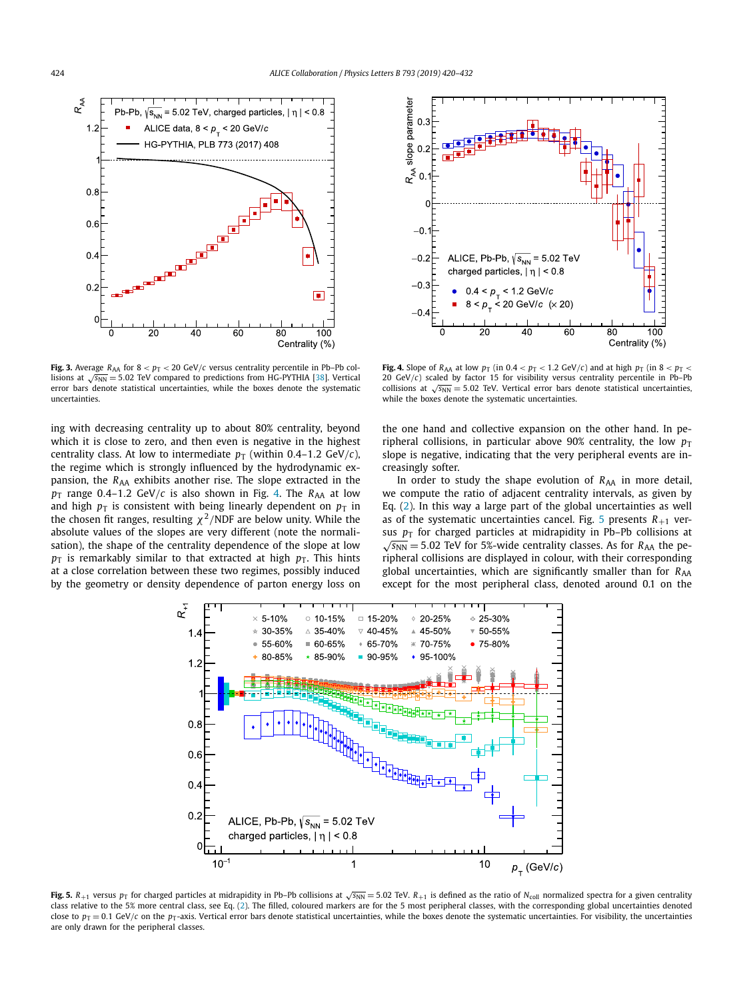

**Fig. 3.** Average  $R_{AA}$  for  $8 < p_T < 20$  GeV/*c* versus centrality percentile in Pb–Pb collisions at  $\sqrt{s_{NN}}$  = 5.02 TeV compared to predictions from HG-PYTHIA [38]. Vertical error bars denote statistical uncertainties, while the boxes denote the systematic uncertainties.

ing with decreasing centrality up to about 80% centrality, beyond which it is close to zero, and then even is negative in the highest centrality class. At low to intermediate  $p_T$  (within 0.4–1.2 GeV/*c*), the regime which is strongly influenced by the hydrodynamic expansion, the *R*<sub>AA</sub> exhibits another rise. The slope extracted in the  $p_T$  range 0.4–1.2 GeV/ $c$  is also shown in Fig. 4. The  $R_{AA}$  at low and high  $p<sub>T</sub>$  is consistent with being linearly dependent on  $p<sub>T</sub>$  in the chosen fit ranges, resulting  $\chi^2/NDF$  are below unity. While the absolute values of the slopes are very different (note the normalisation), the shape of the centrality dependence of the slope at low  $p<sub>T</sub>$  is remarkably similar to that extracted at high  $p<sub>T</sub>$ . This hints at a close correlation between these two regimes, possibly induced by the geometry or density dependence of parton energy loss on



**Fig. 4.** Slope of  $R_{AA}$  at low  $p_T$  (in 0.4  $< p_T < 1.2$  GeV/*c*) and at high  $p_T$  (in 8  $< p_T <$ 20 GeV*/c*) scaled by factor 15 for visibility versus centrality percentile in Pb–Pb collisions at  $\sqrt{s_{NN}}$  = 5.02 TeV. Vertical error bars denote statistical uncertainties, while the boxes denote the systematic uncertainties.

the one hand and collective expansion on the other hand. In peripheral collisions, in particular above 90% centrality, the low  $p_T$ slope is negative, indicating that the very peripheral events are increasingly softer.

In order to study the shape evolution of  $R_{AA}$  in more detail, we compute the ratio of adjacent centrality intervals, as given by Eq. (2). In this way a large part of the global uncertainties as well as of the systematic uncertainties cancel. Fig. 5 presents  $R_{+1}$  versus  $p_T$  for charged particles at midrapidity in Pb–Pb collisions at  $\sqrt{s_{NN}}$  = 5.02 TeV for 5%-wide centrality classes. As for  $R_{AA}$  the peripheral collisions are displayed in colour, with their corresponding global uncertainties, which are significantly smaller than for *R*<sub>AA</sub> except for the most peripheral class, denoted around 0.1 on the



Fig. 5.  $R_{+1}$  versus  $p_T$  for charged particles at midrapidity in Pb-Pb collisions at  $\sqrt{s_{NN}}$  = 5.02 TeV.  $R_{+1}$  is defined as the ratio of  $N_{\text{coll}}$  normalized spectra for a given centrality class relative to the 5% more central class, see Eq. (2). The filled, coloured markers are for the 5 most peripheral classes, with the corresponding global uncertainties denoted close to  $p_T = 0.1$  GeV/ $c$  on the  $p_T$ -axis. Vertical error bars denote statistical uncertainties, while the boxes denote the systematic uncertainties. For visibility, the uncertainties are only drawn for the peripheral classes.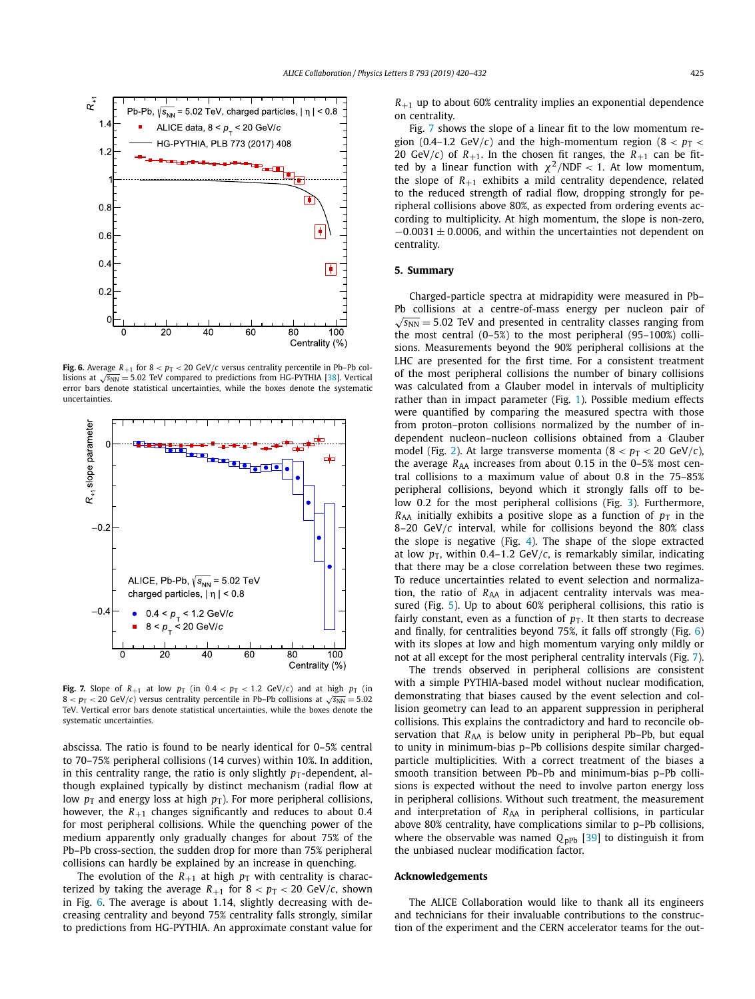

**Fig. 6.** Average  $R_{+1}$  for  $8 < p_T < 20$  GeV/c versus centrality percentile in Pb–Pb collisions at  $\sqrt{s_{NN}}$  = 5.02 TeV compared to predictions from HG-PYTHIA [38]. Vertical error bars denote statistical uncertainties, while the boxes denote the systematic uncertainties.



**Fig. 7.** Slope of  $R_{+1}$  at low  $p_T$  (in  $0.4 < p_T < 1.2$  GeV/*c*) and at high  $p_T$  (in  $8 < p_T < 20$  GeV/*c*) versus centrality percentile in Pb–Pb collisions at  $\sqrt{s_{NN}} = 5.02$ TeV. Vertical error bars denote statistical uncertainties, while the boxes denote the systematic uncertainties.

abscissa. The ratio is found to be nearly identical for 0–5% central to 70–75% peripheral collisions (14 curves) within 10%. In addition, in this centrality range, the ratio is only slightly  $p_T$ -dependent, although explained typically by distinct mechanism (radial flow at low  $p_T$  and energy loss at high  $p_T$ ). For more peripheral collisions, however, the  $R_{+1}$  changes significantly and reduces to about 0.4 for most peripheral collisions. While the quenching power of the medium apparently only gradually changes for about 75% of the Pb–Pb cross-section, the sudden drop for more than 75% peripheral collisions can hardly be explained by an increase in quenching.

The evolution of the  $R_{+1}$  at high  $p_T$  with centrality is characterized by taking the average  $R_{+1}$  for  $8 < p_T < 20$  GeV/c, shown in Fig. 6. The average is about 1*.*14, slightly decreasing with decreasing centrality and beyond 75% centrality falls strongly, similar to predictions from HG-PYTHIA. An approximate constant value for  $R_{+1}$  up to about 60% centrality implies an exponential dependence on centrality.

Fig. 7 shows the slope of a linear fit to the low momentum region (0.4–1.2 GeV/*c*) and the high-momentum region (8  $< p<sub>T</sub>$ 20 GeV/*c*) of  $R_{+1}$ . In the chosen fit ranges, the  $R_{+1}$  can be fitted by a linear function with  $\chi^2/NDF < 1$ . At low momentum, the slope of  $R_{+1}$  exhibits a mild centrality dependence, related to the reduced strength of radial flow, dropping strongly for peripheral collisions above 80%, as expected from ordering events according to multiplicity. At high momentum, the slope is non-zero, −0*.*0031 ± 0*.*0006, and within the uncertainties not dependent on centrality.

### **5. Summary**

Charged-particle spectra at midrapidity were measured in Pb– Pb collisions at a centre-of-mass energy per nucleon pair of  $\sqrt{s_{NN}}$  = 5.02 TeV and presented in centrality classes ranging from the most central (0–5%) to the most peripheral (95–100%) collisions. Measurements beyond the 90% peripheral collisions at the LHC are presented for the first time. For a consistent treatment of the most peripheral collisions the number of binary collisions was calculated from a Glauber model in intervals of multiplicity rather than in impact parameter (Fig. 1). Possible medium effects were quantified by comparing the measured spectra with those from proton–proton collisions normalized by the number of independent nucleon–nucleon collisions obtained from a Glauber model (Fig. 2). At large transverse momenta ( $8 < p<sub>T</sub> < 20$  GeV/*c*), the average  $R_{AA}$  increases from about 0.15 in the 0-5% most central collisions to a maximum value of about 0*.*8 in the 75–85% peripheral collisions, beyond which it strongly falls off to below 0*.*2 for the most peripheral collisions (Fig. 3). Furthermore,  $R_{AA}$  initially exhibits a positive slope as a function of  $p<sub>T</sub>$  in the 8–20 GeV*/c* interval, while for collisions beyond the 80% class the slope is negative (Fig. 4). The shape of the slope extracted at low  $p_T$ , within 0.4–1.2 GeV/c, is remarkably similar, indicating that there may be a close correlation between these two regimes. To reduce uncertainties related to event selection and normalization, the ratio of R<sub>AA</sub> in adjacent centrality intervals was measured (Fig. 5). Up to about 60% peripheral collisions, this ratio is fairly constant, even as a function of  $p<sub>T</sub>$ . It then starts to decrease and finally, for centralities beyond 75%, it falls off strongly (Fig. 6) with its slopes at low and high momentum varying only mildly or not at all except for the most peripheral centrality intervals (Fig. 7).

The trends observed in peripheral collisions are consistent with a simple PYTHIA-based model without nuclear modification, demonstrating that biases caused by the event selection and collision geometry can lead to an apparent suppression in peripheral collisions. This explains the contradictory and hard to reconcile observation that  $R_{AA}$  is below unity in peripheral Pb–Pb, but equal to unity in minimum-bias p–Pb collisions despite similar chargedparticle multiplicities. With a correct treatment of the biases a smooth transition between Pb–Pb and minimum-bias p–Pb collisions is expected without the need to involve parton energy loss in peripheral collisions. Without such treatment, the measurement and interpretation of R<sub>AA</sub> in peripheral collisions, in particular above 80% centrality, have complications similar to p–Pb collisions, where the observable was named  $Q_{pPb}$  [39] to distinguish it from the unbiased nuclear modification factor.

#### **Acknowledgements**

The ALICE Collaboration would like to thank all its engineers and technicians for their invaluable contributions to the construction of the experiment and the CERN accelerator teams for the out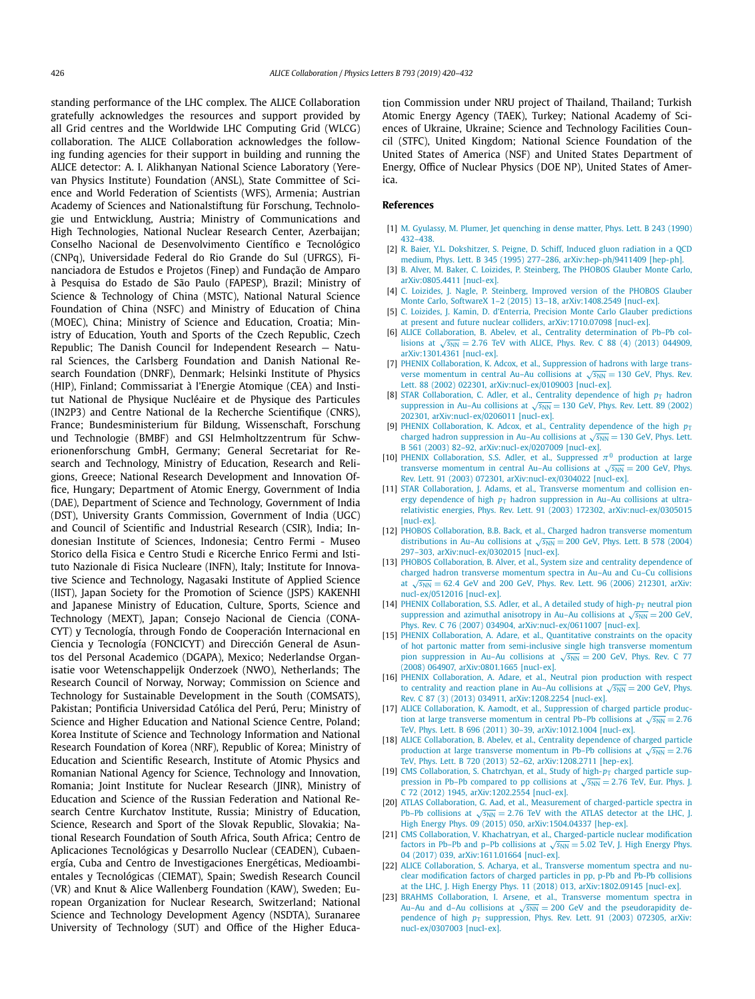standing performance of the LHC complex. The ALICE Collaboration gratefully acknowledges the resources and support provided by all Grid centres and the Worldwide LHC Computing Grid (WLCG) collaboration. The ALICE Collaboration acknowledges the following funding agencies for their support in building and running the ALICE detector: A. I. Alikhanyan National Science Laboratory (Yerevan Physics Institute) Foundation (ANSL), State Committee of Science and World Federation of Scientists (WFS), Armenia; Austrian Academy of Sciences and Nationalstiftung für Forschung, Technologie und Entwicklung, Austria; Ministry of Communications and High Technologies, National Nuclear Research Center, Azerbaijan; Conselho Nacional de Desenvolvimento Científico e Tecnológico (CNPq), Universidade Federal do Rio Grande do Sul (UFRGS), Financiadora de Estudos e Projetos (Finep) and Fundação de Amparo à Pesquisa do Estado de São Paulo (FAPESP), Brazil; Ministry of Science & Technology of China (MSTC), National Natural Science Foundation of China (NSFC) and Ministry of Education of China (MOEC), China; Ministry of Science and Education, Croatia; Ministry of Education, Youth and Sports of the Czech Republic, Czech Republic; The Danish Council for Independent Research — Natural Sciences, the Carlsberg Foundation and Danish National Research Foundation (DNRF), Denmark; Helsinki Institute of Physics (HIP), Finland; Commissariat à l'Energie Atomique (CEA) and Institut National de Physique Nucléaire et de Physique des Particules (IN2P3) and Centre National de la Recherche Scientifique (CNRS), France; Bundesministerium für Bildung, Wissenschaft, Forschung und Technologie (BMBF) and GSI Helmholtzzentrum für Schwerionenforschung GmbH, Germany; General Secretariat for Research and Technology, Ministry of Education, Research and Religions, Greece; National Research Development and Innovation Office, Hungary; Department of Atomic Energy, Government of India (DAE), Department of Science and Technology, Government of India (DST), University Grants Commission, Government of India (UGC) and Council of Scientific and Industrial Research (CSIR), India; Indonesian Institute of Sciences, Indonesia; Centro Fermi - Museo Storico della Fisica e Centro Studi e Ricerche Enrico Fermi and Istituto Nazionale di Fisica Nucleare (INFN), Italy; Institute for Innovative Science and Technology, Nagasaki Institute of Applied Science (IIST), Japan Society for the Promotion of Science (JSPS) KAKENHI and Japanese Ministry of Education, Culture, Sports, Science and Technology (MEXT), Japan; Consejo Nacional de Ciencia (CONA-CYT) y Tecnología, through Fondo de Cooperación Internacional en Ciencia y Tecnología (FONCICYT) and Dirección General de Asuntos del Personal Academico (DGAPA), Mexico; Nederlandse Organisatie voor Wetenschappelijk Onderzoek (NWO), Netherlands; The Research Council of Norway, Norway; Commission on Science and Technology for Sustainable Development in the South (COMSATS), Pakistan; Pontificia Universidad Católica del Perú, Peru; Ministry of Science and Higher Education and National Science Centre, Poland; Korea Institute of Science and Technology Information and National Research Foundation of Korea (NRF), Republic of Korea; Ministry of Education and Scientific Research, Institute of Atomic Physics and Romanian National Agency for Science, Technology and Innovation, Romania; Joint Institute for Nuclear Research (JINR), Ministry of Education and Science of the Russian Federation and National Research Centre Kurchatov Institute, Russia; Ministry of Education, Science, Research and Sport of the Slovak Republic, Slovakia; National Research Foundation of South Africa, South Africa; Centro de Aplicaciones Tecnológicas y Desarrollo Nuclear (CEADEN), Cubaenergía, Cuba and Centro de Investigaciones Energéticas, Medioambientales y Tecnológicas (CIEMAT), Spain; Swedish Research Council (VR) and Knut & Alice Wallenberg Foundation (KAW), Sweden; European Organization for Nuclear Research, Switzerland; National Science and Technology Development Agency (NSDTA), Suranaree University of Technology (SUT) and Office of the Higher Education Commission under NRU project of Thailand, Thailand; Turkish Atomic Energy Agency (TAEK), Turkey; National Academy of Sciences of Ukraine, Ukraine; Science and Technology Facilities Council (STFC), United Kingdom; National Science Foundation of the United States of America (NSF) and United States Department of Energy, Office of Nuclear Physics (DOE NP), United States of America.

#### **References**

- [1] M. Gyulassy, M. Plumer, Jet [quenching](http://refhub.elsevier.com/S0370-2693(19)30280-1/bib4779756C617373793A313939307965s1) in dense matter, Phys. Lett. B 243 (1990) [432–438.](http://refhub.elsevier.com/S0370-2693(19)30280-1/bib4779756C617373793A313939307965s1)
- [2] R. Baier, Y.L. [Dokshitzer,](http://refhub.elsevier.com/S0370-2693(19)30280-1/bib42616965723A313939346264s1) S. Peigne, D. Schiff, Induced gluon radiation in a QCD medium, Phys. Lett. B 345 (1995) 277–286, [arXiv:hep-ph/9411409 \[hep-ph\].](http://refhub.elsevier.com/S0370-2693(19)30280-1/bib42616965723A313939346264s1)
- [3] B. Alver, M. Baker, C. Loizides, P. [Steinberg,](http://refhub.elsevier.com/S0370-2693(19)30280-1/bib416C7665723A323030386171s1) The PHOBOS Glauber Monte Carlo, [arXiv:0805.4411 \[nucl-ex\].](http://refhub.elsevier.com/S0370-2693(19)30280-1/bib416C7665723A323030386171s1)
- [4] C. Loizides, J. Nagle, P. [Steinberg,](http://refhub.elsevier.com/S0370-2693(19)30280-1/bib4C6F697A696465733A32303134767561s1) Improved version of the PHOBOS Glauber Monte Carlo, SoftwareX 1–2 (2015) 13–18, [arXiv:1408.2549 \[nucl-ex\].](http://refhub.elsevier.com/S0370-2693(19)30280-1/bib4C6F697A696465733A32303134767561s1)
- [5] C. Loizides, J. Kamin, D. d'Enterria, Precision Monte Carlo Glauber [predictions](http://refhub.elsevier.com/S0370-2693(19)30280-1/bib4C6F697A696465733A3230313761636Bs1) at present and future nuclear colliders, [arXiv:1710.07098 \[nucl-ex\].](http://refhub.elsevier.com/S0370-2693(19)30280-1/bib4C6F697A696465733A3230313761636Bs1)
- [6] ALICE Collaboration, B. Abelev, et al., Centrality [determination](http://refhub.elsevier.com/S0370-2693(19)30280-1/bib4162656C65763A32303133716F71s1) of Pb–Pb collisions at  $\sqrt{s_{NN}}$  = 2.76 TeV with ALICE, Phys. Rev. C 88 (4) (2013) [044909,](http://refhub.elsevier.com/S0370-2693(19)30280-1/bib4162656C65763A32303133716F71s1) [arXiv:1301.4361 \[nucl-ex\].](http://refhub.elsevier.com/S0370-2693(19)30280-1/bib4162656C65763A32303133716F71s1)
- [7] PHENIX [Collaboration,](http://refhub.elsevier.com/S0370-2693(19)30280-1/bib4164636F783A323030316A70s1) K. Adcox, et al., Suppression of hadrons with large trans-verse momentum in central [Au–Au collisions](http://refhub.elsevier.com/S0370-2693(19)30280-1/bib4164636F783A323030316A70s1) at  $\sqrt{s_{NN}} = 130$  GeV, Phys. Rev. Lett. 88 (2002) 022301, [arXiv:nucl-ex/0109003 \[nucl-ex\].](http://refhub.elsevier.com/S0370-2693(19)30280-1/bib4164636F783A323030316A70s1)
- [8] STAR [Collaboration,](http://refhub.elsevier.com/S0370-2693(19)30280-1/bib41646C65723A323030327877s1) C. Adler, et al., Centrality dependence of high  $p_T$  hadron suppression in [Au–Au collisions](http://refhub.elsevier.com/S0370-2693(19)30280-1/bib41646C65723A323030327877s1) at  $\sqrt{s_{NN}}$  = 130 GeV, Phys. Rev. Lett. 89 (2002) 202301, [arXiv:nucl-ex/0206011 \[nucl-ex\].](http://refhub.elsevier.com/S0370-2693(19)30280-1/bib41646C65723A323030327877s1)
- [9] PHENIX [Collaboration,](http://refhub.elsevier.com/S0370-2693(19)30280-1/bib4164636F783A323030327065s1) K. Adcox, et al., Centrality dependence of the high  $p_T$ charged hadron suppression in [Au–Au collisions](http://refhub.elsevier.com/S0370-2693(19)30280-1/bib4164636F783A323030327065s1) at  $\sqrt{s_{NN}}$  = 130 GeV, Phys. Lett. B 561 (2003) 82–92, [arXiv:nucl-ex/0207009 \[nucl-ex\].](http://refhub.elsevier.com/S0370-2693(19)30280-1/bib4164636F783A323030327065s1)
- [10] PHENIX [Collaboration,](http://refhub.elsevier.com/S0370-2693(19)30280-1/bib41646C65723A323030337169s1) S.S. Adler, et al., Suppressed  $\pi^0$  production at large transverse momentum in central [Au–Au collisions](http://refhub.elsevier.com/S0370-2693(19)30280-1/bib41646C65723A323030337169s1) at  $\sqrt{s_{NN}}$  = 200 GeV, Phys. Rev. Lett. 91 (2003) 072301, [arXiv:nucl-ex/0304022 \[nucl-ex\].](http://refhub.elsevier.com/S0370-2693(19)30280-1/bib41646C65723A323030337169s1)
- [11] STAR [Collaboration,](http://refhub.elsevier.com/S0370-2693(19)30280-1/bib4164616D733A323030336B76s1) J. Adams, et al., Transverse momentum and collision energy dependence of high  $p_T$  hadron suppression in [Au–Au collisions](http://refhub.elsevier.com/S0370-2693(19)30280-1/bib4164616D733A323030336B76s1) at ultrarelativistic energies, Phys. Rev. Lett. 91 (2003) 172302, [arXiv:nucl-ex/0305015](http://refhub.elsevier.com/S0370-2693(19)30280-1/bib4164616D733A323030336B76s1) [\[nucl-ex\].](http://refhub.elsevier.com/S0370-2693(19)30280-1/bib4164616D733A323030336B76s1)
- [12] PHOBOS [Collaboration,](http://refhub.elsevier.com/S0370-2693(19)30280-1/bib4261636B3A323030337172s1) B.B. Back, et al., Charged hadron transverse momentum distributions in [Au–Au collisions](http://refhub.elsevier.com/S0370-2693(19)30280-1/bib4261636B3A323030337172s1) at  $\sqrt{s_{NN}}$  = 200 GeV, Phys. Lett. B 578 (2004) 297–303, [arXiv:nucl-ex/0302015 \[nucl-ex\].](http://refhub.elsevier.com/S0370-2693(19)30280-1/bib4261636B3A323030337172s1)
- [13] PHOBOS [Collaboration,](http://refhub.elsevier.com/S0370-2693(19)30280-1/bib416C7665723A323030356E62s1) B. Alver, et al., System size and centrality dependence of charged hadron transverse momentum spectra in Au–Au and [Cu–Cu collisions](http://refhub.elsevier.com/S0370-2693(19)30280-1/bib416C7665723A323030356E62s1) at  $\sqrt{s_{NN}}$  = 62.4 GeV and 200 GeV, Phys. Rev. Lett. 96 (2006) [212301,](http://refhub.elsevier.com/S0370-2693(19)30280-1/bib416C7665723A323030356E62s1) arXiv: [nucl-ex/0512016 \[nucl-ex\].](http://refhub.elsevier.com/S0370-2693(19)30280-1/bib416C7665723A323030356E62s1)
- [14] PHENIX [Collaboration,](http://refhub.elsevier.com/S0370-2693(19)30280-1/bib41646C65723A323030366277s1) S.S. Adler, et al., A detailed study of high- $p_T$  neutral pion suppression and azimuthal anisotropy in [Au–Au collisions](http://refhub.elsevier.com/S0370-2693(19)30280-1/bib41646C65723A323030366277s1) at  $\sqrt{s_{NN}}$  = 200 GeV, Phys. Rev. C 76 (2007) 034904, [arXiv:nucl-ex/0611007 \[nucl-ex\].](http://refhub.elsevier.com/S0370-2693(19)30280-1/bib41646C65723A323030366277s1)
- [15] PHENIX [Collaboration,](http://refhub.elsevier.com/S0370-2693(19)30280-1/bib41646172653A323030386367s1) A. Adare, et al., Quantitative constraints on the opacity of hot partonic matter from [semi-inclusive](http://refhub.elsevier.com/S0370-2693(19)30280-1/bib41646172653A323030386367s1) single high transverse momentum pion suppression in [Au–Au collisions](http://refhub.elsevier.com/S0370-2693(19)30280-1/bib41646172653A323030386367s1) at  $\sqrt{s_{NN}} = 200$  GeV, Phys. Rev. C 77 (2008) 064907, [arXiv:0801.1665 \[nucl-ex\].](http://refhub.elsevier.com/S0370-2693(19)30280-1/bib41646172653A323030386367s1)
- [16] PHENIX [Collaboration,](http://refhub.elsevier.com/S0370-2693(19)30280-1/bib41646172653A323031327767s1) A. Adare, et al., Neutral pion production with respect to centrality and reaction plane in [Au–Au collisions](http://refhub.elsevier.com/S0370-2693(19)30280-1/bib41646172653A323031327767s1) at  $\sqrt{s_{NN}}$  = 200 GeV, Phys. Rev. C 87 (3) (2013) 034911, [arXiv:1208.2254 \[nucl-ex\].](http://refhub.elsevier.com/S0370-2693(19)30280-1/bib41646172653A323031327767s1)
- [17] ALICE [Collaboration,](http://refhub.elsevier.com/S0370-2693(19)30280-1/bib41616D6F64743A323031306A64s1) K. Aamodt, et al., Suppression of charged particle produc-tion at large transverse momentum in central [Pb–Pb collisions](http://refhub.elsevier.com/S0370-2693(19)30280-1/bib41616D6F64743A323031306A64s1) at  $\sqrt{s_{NN}} = 2.76$ TeV, Phys. Lett. B 696 (2011) 30–39, [arXiv:1012.1004 \[nucl-ex\].](http://refhub.elsevier.com/S0370-2693(19)30280-1/bib41616D6F64743A323031306A64s1)
- [18] ALICE [Collaboration,](http://refhub.elsevier.com/S0370-2693(19)30280-1/bib4162656C65763A32303132687861s1) B. Abelev, et al., Centrality dependence of charged particle production at large transverse momentum in [Pb–Pb collisions](http://refhub.elsevier.com/S0370-2693(19)30280-1/bib4162656C65763A32303132687861s1) at  $\sqrt{s_{NN}} = 2.76$ TeV, Phys. Lett. B 720 (2013) 52–62, [arXiv:1208.2711 \[hep-ex\].](http://refhub.elsevier.com/S0370-2693(19)30280-1/bib4162656C65763A32303132687861s1)
- [19] CMS [Collaboration,](http://refhub.elsevier.com/S0370-2693(19)30280-1/bib434D533A323031326161s1) S. Chatrchyan, et al., Study of high- $p_T$  charged particle sup-pression in [Pb–Pb compared](http://refhub.elsevier.com/S0370-2693(19)30280-1/bib434D533A323031326161s1) to pp collisions at  $\sqrt{s_{NN}}$  = 2.76 TeV, Eur. Phys. J. C 72 (2012) 1945, [arXiv:1202.2554 \[nucl-ex\].](http://refhub.elsevier.com/S0370-2693(19)30280-1/bib434D533A323031326161s1)
- [20] ATLAS Collaboration, G. Aad, et al., Measurement of [charged-particle](http://refhub.elsevier.com/S0370-2693(19)30280-1/bib4161643A32303135776761s1) spectra in [Pb–Pb collisions](http://refhub.elsevier.com/S0370-2693(19)30280-1/bib4161643A32303135776761s1) at  $\sqrt{s_{NN}}$  = 2.76 TeV with the ATLAS detector at the LHC, J. High Energy Phys. 09 (2015) 050, [arXiv:1504.04337 \[hep-ex\].](http://refhub.elsevier.com/S0370-2693(19)30280-1/bib4161643A32303135776761s1)
- [21] CMS Collaboration, V. Khachatryan, et al., [Charged-particle](http://refhub.elsevier.com/S0370-2693(19)30280-1/bib4B6861636861747279616E3A323031366F646Es1) nuclear modification factors in Pb–Pb and [p–Pb collisions](http://refhub.elsevier.com/S0370-2693(19)30280-1/bib4B6861636861747279616E3A323031366F646Es1) at  $\sqrt{s_{NN}}$  = 5.02 TeV, J. High Energy Phys. 04 (2017) 039, [arXiv:1611.01664 \[nucl-ex\].](http://refhub.elsevier.com/S0370-2693(19)30280-1/bib4B6861636861747279616E3A323031366F646Es1)
- [22] ALICE [Collaboration,](http://refhub.elsevier.com/S0370-2693(19)30280-1/bib726161357465767061706572s1) S. Acharya, et al., Transverse momentum spectra and nuclear [modification](http://refhub.elsevier.com/S0370-2693(19)30280-1/bib726161357465767061706572s1) factors of charged particles in pp, p-Pb and Pb-Pb collisions at the LHC, J. High Energy Phys. 11 (2018) 013, [arXiv:1802.09145 \[nucl-ex\].](http://refhub.elsevier.com/S0370-2693(19)30280-1/bib726161357465767061706572s1)
- [23] BRAHMS [Collaboration,](http://refhub.elsevier.com/S0370-2693(19)30280-1/bib417273656E653A32303033796Bs1) I. Arsene, et al., Transverse momentum spectra in Au–Au and [d–Au collisions](http://refhub.elsevier.com/S0370-2693(19)30280-1/bib417273656E653A32303033796Bs1) at  $\sqrt{s_{NN}}$  = 200 GeV and the pseudorapidity dependence of high  $p_T$  [suppression,](http://refhub.elsevier.com/S0370-2693(19)30280-1/bib417273656E653A32303033796Bs1) Phys. Rev. Lett. 91 (2003) 072305, arXiv: [nucl-ex/0307003 \[nucl-ex\].](http://refhub.elsevier.com/S0370-2693(19)30280-1/bib417273656E653A32303033796Bs1)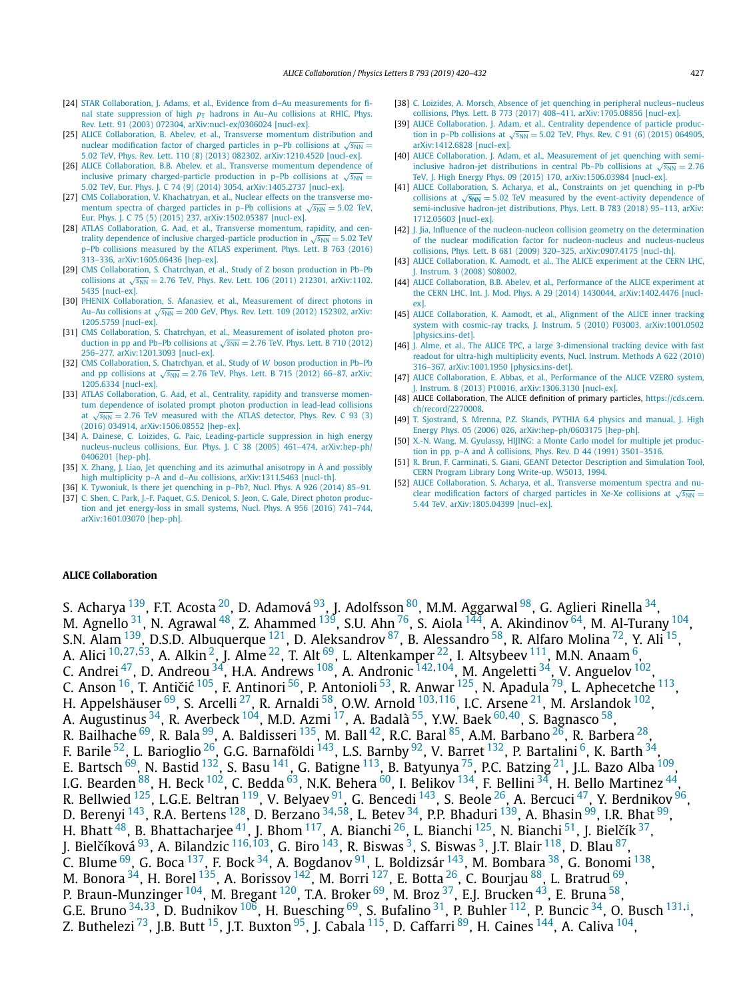- [24] STAR Collaboration, J. Adams, et al., Evidence from [d–Au measurements](http://refhub.elsevier.com/S0370-2693(19)30280-1/bib4164616D733A32303033696Ds1) for final state suppression of high  $p_T$  hadrons in [Au–Au collisions](http://refhub.elsevier.com/S0370-2693(19)30280-1/bib4164616D733A32303033696Ds1) at RHIC, Phys. Rev. Lett. 91 (2003) 072304, [arXiv:nucl-ex/0306024 \[nucl-ex\].](http://refhub.elsevier.com/S0370-2693(19)30280-1/bib4164616D733A32303033696Ds1)
- [25] ALICE [Collaboration,](http://refhub.elsevier.com/S0370-2693(19)30280-1/bib414C4943453A323031326D6As1) B. Abelev, et al., Transverse momentum distribution and nuclear modification factor of charged particles in [p–Pb collisions](http://refhub.elsevier.com/S0370-2693(19)30280-1/bib414C4943453A323031326D6As1) at  $\sqrt{s_{NN}}$  = 5*.*02 TeV, Phys. Rev. Lett. 110 (8) (2013) 082302, [arXiv:1210.4520 \[nucl-ex\].](http://refhub.elsevier.com/S0370-2693(19)30280-1/bib414C4943453A323031326D6As1)
- [26] ALICE [Collaboration,](http://refhub.elsevier.com/S0370-2693(19)30280-1/bib4162656C65763A32303134647361s1) B.B. Abelev, et al., Transverse momentum dependence of inclusive primary [charged-particle](http://refhub.elsevier.com/S0370-2693(19)30280-1/bib4162656C65763A32303134647361s1) production in p–Pb collisions at  $\sqrt{s_{NN}}$  = 5*.*02 TeV, Eur. Phys. J. C 74 (9) (2014) 3054, [arXiv:1405.2737 \[nucl-ex\].](http://refhub.elsevier.com/S0370-2693(19)30280-1/bib4162656C65763A32303134647361s1)
- [27] CMS [Collaboration,](http://refhub.elsevier.com/S0370-2693(19)30280-1/bib4B6861636861747279616E3A32303135786161s1) V. Khachatryan, et al., Nuclear effects on the transverse momentum spectra of charged particles in [p–Pb collisions](http://refhub.elsevier.com/S0370-2693(19)30280-1/bib4B6861636861747279616E3A32303135786161s1) at  $\sqrt{s_{NN}} = 5.02$  TeV, Eur. Phys. J. C 75 (5) (2015) 237, [arXiv:1502.05387 \[nucl-ex\].](http://refhub.elsevier.com/S0370-2693(19)30280-1/bib4B6861636861747279616E3A32303135786161s1)
- [28] ATLAS [Collaboration,](http://refhub.elsevier.com/S0370-2693(19)30280-1/bib4161643A323031367A6966s1) G. Aad, et al., Transverse momentum, rapidity, and centrality dependence of inclusive [charged-particle](http://refhub.elsevier.com/S0370-2693(19)30280-1/bib4161643A323031367A6966s1) production in  $\sqrt{s_{NN}} = 5.02$  TeV [p–Pb collisions](http://refhub.elsevier.com/S0370-2693(19)30280-1/bib4161643A323031367A6966s1) measured by the ATLAS experiment, Phys. Lett. B 763 (2016) 313–336, [arXiv:1605.06436 \[hep-ex\].](http://refhub.elsevier.com/S0370-2693(19)30280-1/bib4161643A323031367A6966s1)
- [29] CMS [Collaboration,](http://refhub.elsevier.com/S0370-2693(19)30280-1/bib4368617472636879616E3A323031317561s1) S. Chatrchyan, et al., Study of Z boson production in Pb–Pb collisions at  $\sqrt{s_{NN}}$  = 2.76 TeV, Phys. Rev. Lett. 106 (2011) 212301, [arXiv:1102.](http://refhub.elsevier.com/S0370-2693(19)30280-1/bib4368617472636879616E3A323031317561s1) [5435 \[nucl-ex\].](http://refhub.elsevier.com/S0370-2693(19)30280-1/bib4368617472636879616E3A323031317561s1)
- [30] PHENIX [Collaboration,](http://refhub.elsevier.com/S0370-2693(19)30280-1/bib4166616E61736965763A323031326467s1) S. Afanasiev, et al., Measurement of direct photons in [Au–Au collisions](http://refhub.elsevier.com/S0370-2693(19)30280-1/bib4166616E61736965763A323031326467s1) at  $\sqrt{s_{NN}}$  = 200 GeV, Phys. Rev. Lett. 109 (2012) 152302, arXiv: [1205.5759 \[nucl-ex\].](http://refhub.elsevier.com/S0370-2693(19)30280-1/bib4166616E61736965763A323031326467s1)
- [31] CMS [Collaboration,](http://refhub.elsevier.com/S0370-2693(19)30280-1/bib4368617472636879616E3A323031327671s1) S. Chatrchyan, et al., Measurement of isolated photon pro-duction in pp and [Pb–Pb collisions](http://refhub.elsevier.com/S0370-2693(19)30280-1/bib4368617472636879616E3A323031327671s1) at  $\sqrt{s_{NN}}$  = 2.76 TeV, Phys. Lett. B 710 (2012) 256–277, [arXiv:1201.3093 \[nucl-ex\].](http://refhub.elsevier.com/S0370-2693(19)30280-1/bib4368617472636879616E3A323031327671s1)
- [32] CMS [Collaboration,](http://refhub.elsevier.com/S0370-2693(19)30280-1/bib4368617472636879616E3A323031326E74s1) S. Chatrchyan, et al., Study of *W* boson production in Pb–Pb and pp [collisions](http://refhub.elsevier.com/S0370-2693(19)30280-1/bib4368617472636879616E3A323031326E74s1) at  $\sqrt{s_{NN}}$  = 2.76 TeV, Phys. Lett. B 715 (2012) 66–87, arXiv: [1205.6334 \[nucl-ex\].](http://refhub.elsevier.com/S0370-2693(19)30280-1/bib4368617472636879616E3A323031326E74s1)
- [33] ATLAS [Collaboration,](http://refhub.elsevier.com/S0370-2693(19)30280-1/bib4161643A323031356C6362s1) G. Aad, et al., Centrality, rapidity and transverse momentum [dependence](http://refhub.elsevier.com/S0370-2693(19)30280-1/bib4161643A323031356C6362s1) of isolated prompt photon production in lead-lead collisions at  $\sqrt{s_{NN}}$  = 2.76 TeV [measured](http://refhub.elsevier.com/S0370-2693(19)30280-1/bib4161643A323031356C6362s1) with the ATLAS detector, Phys. Rev. C 93 (3) (2016) 034914, [arXiv:1506.08552 \[hep-ex\].](http://refhub.elsevier.com/S0370-2693(19)30280-1/bib4161643A323031356C6362s1)
- [34] A. Dainese, C. Loizides, G. Paic, [Leading-particle](http://refhub.elsevier.com/S0370-2693(19)30280-1/bib4461696E6573653A323030347465s1) suppression in high energy [nucleus-nucleus](http://refhub.elsevier.com/S0370-2693(19)30280-1/bib4461696E6573653A323030347465s1) collisions, Eur. Phys. J. C 38 (2005) 461–474, arXiv:hep-ph/ [0406201 \[hep-ph\].](http://refhub.elsevier.com/S0370-2693(19)30280-1/bib4461696E6573653A323030347465s1)
- [35] X. Zhang, J. Liao, Jet quenching and its azimuthal [anisotropy](http://refhub.elsevier.com/S0370-2693(19)30280-1/bib5A68616E673A323031336F6361s1) in Å and possibly high multiplicity p–A and d–Au collisions, [arXiv:1311.5463 \[nucl-th\].](http://refhub.elsevier.com/S0370-2693(19)30280-1/bib5A68616E673A323031336F6361s1)
- [36] K. [Tywoniuk,](http://refhub.elsevier.com/S0370-2693(19)30280-1/bib5479776F6E69756B3A32303134687461s1) Is there jet quenching in p–Pb?, Nucl. Phys. A 926 (2014) 85–91.
- [37] C. Shen, C. Park, J.-F. Paquet, G.S. [Denicol,](http://refhub.elsevier.com/S0370-2693(19)30280-1/bib5368656E3A32303136656777s1) S. Jeon, C. Gale, Direct photon production and jet [energy-loss](http://refhub.elsevier.com/S0370-2693(19)30280-1/bib5368656E3A32303136656777s1) in small systems, Nucl. Phys. A 956 (2016) 741–744, [arXiv:1601.03070 \[hep-ph\].](http://refhub.elsevier.com/S0370-2693(19)30280-1/bib5368656E3A32303136656777s1)
- [38] C. Loizides, A. Morsch, Absence of jet quenching in peripheral [nucleus–nucleus](http://refhub.elsevier.com/S0370-2693(19)30280-1/bib4D6F727363683A32303137627262s1) collisions, Phys. Lett. B 773 (2017) 408–411, [arXiv:1705.08856 \[nucl-ex\].](http://refhub.elsevier.com/S0370-2693(19)30280-1/bib4D6F727363683A32303137627262s1)
- [39] ALICE [Collaboration,](http://refhub.elsevier.com/S0370-2693(19)30280-1/bib4164616D3A32303134716A61s1) J. Adam, et al., Centrality dependence of particle production in [p–Pb collisions](http://refhub.elsevier.com/S0370-2693(19)30280-1/bib4164616D3A32303134716A61s1) at  $\sqrt{s_{NN}}$  = 5.02 TeV, Phys. Rev. C 91 (6) (2015) 064905, [arXiv:1412.6828 \[nucl-ex\].](http://refhub.elsevier.com/S0370-2693(19)30280-1/bib4164616D3A32303134716A61s1)
- [40] ALICE [Collaboration,](http://refhub.elsevier.com/S0370-2693(19)30280-1/bib4164616D3A32303135646F61s1) J. Adam, et al., Measurement of jet quenching with semi-inclusive hadron-jet distributions in central [Pb–Pb collisions](http://refhub.elsevier.com/S0370-2693(19)30280-1/bib4164616D3A32303135646F61s1) at  $\sqrt{s_{NN}} = 2.76$ TeV, J. High Energy Phys. 09 (2015) 170, [arXiv:1506.03984 \[nucl-ex\].](http://refhub.elsevier.com/S0370-2693(19)30280-1/bib4164616D3A32303135646F61s1)
- [41] ALICE [Collaboration,](http://refhub.elsevier.com/S0370-2693(19)30280-1/bib416368617279613A323031376F6B71s1) S. Acharya, et al., Constraints on jet quenching in p-Pb collisions at  $\sqrt{s_{NN}}$  = 5.02 TeV measured by the [event-activity](http://refhub.elsevier.com/S0370-2693(19)30280-1/bib416368617279613A323031376F6B71s1) dependence of [semi-inclusive](http://refhub.elsevier.com/S0370-2693(19)30280-1/bib416368617279613A323031376F6B71s1) hadron-jet distributions, Phys. Lett. B 783 (2018) 95–113, arXiv: [1712.05603 \[nucl-ex\].](http://refhub.elsevier.com/S0370-2693(19)30280-1/bib416368617279613A323031376F6B71s1)
- [42] J. Jia, Influence of the [nucleon-nucleon](http://refhub.elsevier.com/S0370-2693(19)30280-1/bib4A69613A323030396D71s1) collision geometry on the determination of the nuclear modification factor for [nucleon-nucleus](http://refhub.elsevier.com/S0370-2693(19)30280-1/bib4A69613A323030396D71s1) and nucleus-nucleus collisions, Phys. Lett. B 681 (2009) 320–325, [arXiv:0907.4175 \[nucl-th\].](http://refhub.elsevier.com/S0370-2693(19)30280-1/bib4A69613A323030396D71s1)
- [43] ALICE [Collaboration,](http://refhub.elsevier.com/S0370-2693(19)30280-1/bib41616D6F64743A323030387A7As1) K. Aamodt, et al., The ALICE experiment at the CERN LHC, J. [Instrum.](http://refhub.elsevier.com/S0370-2693(19)30280-1/bib41616D6F64743A323030387A7As1) 3 (2008) S08002.
- [44] ALICE [Collaboration,](http://refhub.elsevier.com/S0370-2693(19)30280-1/bib4162656C65763A32303134666661s1) B.B. Abelev, et al., Performance of the ALICE experiment at the CERN LHC, Int. J. Mod. Phys. A 29 (2014) 1430044, [arXiv:1402.4476 \[nucl](http://refhub.elsevier.com/S0370-2693(19)30280-1/bib4162656C65763A32303134666661s1)[ex\].](http://refhub.elsevier.com/S0370-2693(19)30280-1/bib4162656C65763A32303134666661s1)
- [45] ALICE [Collaboration,](http://refhub.elsevier.com/S0370-2693(19)30280-1/bib41616D6F64743A323031306161s1) K. Aamodt, et al., Alignment of the ALICE inner tracking system with cosmic-ray tracks, J. Instrum. 5 (2010) P03003, [arXiv:1001.0502](http://refhub.elsevier.com/S0370-2693(19)30280-1/bib41616D6F64743A323031306161s1) [\[physics.ins-det\].](http://refhub.elsevier.com/S0370-2693(19)30280-1/bib41616D6F64743A323031306161s1)
- [46] J. Alme, et al., The ALICE TPC, a large [3-dimensional](http://refhub.elsevier.com/S0370-2693(19)30280-1/bib416C6D653A323031306B65s1) tracking device with fast readout for ultra-high [multiplicity](http://refhub.elsevier.com/S0370-2693(19)30280-1/bib416C6D653A323031306B65s1) events, Nucl. Instrum. Methods A 622 (2010) 316–367, [arXiv:1001.1950 \[physics.ins-det\].](http://refhub.elsevier.com/S0370-2693(19)30280-1/bib416C6D653A323031306B65s1)
- [47] ALICE [Collaboration,](http://refhub.elsevier.com/S0370-2693(19)30280-1/bib41626261733A32303133746161s1) E. Abbas, et al., Performance of the ALICE VZERO system, J. Instrum. 8 (2013) P10016, [arXiv:1306.3130 \[nucl-ex\].](http://refhub.elsevier.com/S0370-2693(19)30280-1/bib41626261733A32303133746161s1)
- [48] ALICE Collaboration, The ALICE definition of primary particles, [https://cds.cern.](https://cds.cern.ch/record/2270008) [ch/record/2270008](https://cds.cern.ch/record/2270008).
- [49] T. [Sjostrand,](http://refhub.elsevier.com/S0370-2693(19)30280-1/bib536A6F737472616E643A323030367A61s1) S. Mrenna, P.Z. Skands, PYTHIA 6.4 physics and manual, J. High Energy Phys. 05 (2006) 026, [arXiv:hep-ph/0603175 \[hep-ph\].](http://refhub.elsevier.com/S0370-2693(19)30280-1/bib536A6F737472616E643A323030367A61s1)
- [50] X.-N. Wang, M. [Gyulassy,](http://refhub.elsevier.com/S0370-2693(19)30280-1/bib57616E673A31393931687461s1) HIJING: a Monte Carlo model for multiple jet production in pp, p–A and Å collisions, Phys. Rev. D 44 (1991) [3501–3516.](http://refhub.elsevier.com/S0370-2693(19)30280-1/bib57616E673A31393931687461s1)
- [51] R. Brun, F. Carminati, S. Giani, GEANT Detector [Description](http://refhub.elsevier.com/S0370-2693(19)30280-1/bib6765616E743372656632s1) and Simulation Tool, CERN Program Library Long [Write-up,](http://refhub.elsevier.com/S0370-2693(19)30280-1/bib6765616E743372656632s1) W5013, 1994.
- [52] ALICE [Collaboration,](http://refhub.elsevier.com/S0370-2693(19)30280-1/bib416368617279613A32303138656171s1) S. Acharya, et al., Transverse momentum spectra and nuclear [modification](http://refhub.elsevier.com/S0370-2693(19)30280-1/bib416368617279613A32303138656171s1) factors of charged particles in Xe-Xe collisions at  $\sqrt{s_{NN}}$  = 5*.*44 TeV, [arXiv:1805.04399 \[nucl-ex\].](http://refhub.elsevier.com/S0370-2693(19)30280-1/bib416368617279613A32303138656171s1)

#### **ALICE Collaboration**

S. Acharya <sup>139</sup>, F.T. Acosta <sup>20</sup>, D. Adamová <sup>93</sup>, J. Adolfsson <sup>80</sup>, M.M. Aggarwal <sup>98</sup>, G. Aglieri Rinella <sup>34</sup>, M. Agnello  $^{31}$ , N. Agrawal  $^{48}$ , Z. Ahammed  $^{139}$ , S.U. Ahn  $^{76}$ , S. Aiola  $^{144}$ , A. Akindinov  $^{64}$ , M. Al-Turany  $^{104}$ , S.N. Alam  $^{139}$ , D.S.D. Albuquerque  $^{121}$ , D. Aleksandrov  $^{87}$ , B. Alessandro  $^{58}$ , R. Alfaro Molina  $^{72}$ , Y. Ali  $^{15}$ , A. Alici <sup>10,27,53</sup>, A. Alkin <sup>2</sup>, J. Alme <sup>22</sup>, T. Alt <sup>69</sup>, L. Altenkamper <sup>22</sup>, I. Altsybeev <sup>111</sup>, M.N. Anaam <sup>6</sup>, C. Andrei <sup>47</sup>, D. Andreou <sup>34</sup>, H.A. Andrews <sup>108</sup>, A. Andronic <sup>142, 104</sup>, M. Angeletti <sup>34</sup>, V. Anguelov <sup>102</sup>, C. Anson <sup>16</sup>, T. Antičić <sup>105</sup>, F. Antinori <sup>56</sup>, P. Antonioli <sup>53</sup>, R. Anwar <sup>125</sup>, N. Apadula <sup>79</sup>, L. Aphecetche <sup>113</sup>, H. Appelshäuser 69, S. Arcelli 27, R. Arnaldi 58, O.W. Arnold <sup>103</sup>*,*116, I.C. Arsene 21, M. Arslandok 102, A. Augustinus 34, R. Averbeck 104, M.D. Azmi 17, A. Badalà 55, Y.W. Baek <sup>60</sup>*,*40, S. Bagnasco 58, R. Bailhache  $^{69}$ , R. Bala  $^{99}$ , A. Baldisseri  $^{135}$ , M. Ball  $^{42}$ , R.C. Baral  $^{85}$ , A.M. Barbano  $^{26}$ , R. Barbera  $^{28}$ , F. Barile  $^{52}$ , L. Barioglio  $^{26}$ , G.G. Barnaföldi  $^{143}$ , L.S. Barnby  $^{92}$ , V. Barret  $^{132}$ , P. Bartalini  $^6$ , K. Barth  $^{34}$ , E. Bartsch  $^{69}$ , N. Bastid  $^{132}$ , S. Basu  $^{141}$ , G. Batigne  $^{113}$ , B. Batyunya  $^{75}$ , P.C. Batzing  $^{21}$ , J.L. Bazo Alba  $^{109}$ , I.G. Bearden  $^{88}$ , H. Beck  $^{102}$ , C. Bedda  $^{63}$ , N.K. Behera  $^{60}$ , I. Belikov  $^{134}$ , F. Bellini  $^{34}$ , H. Bello Martinez  $^{44},$ R. Bellwied  $^{125}$ , L.G.E. Beltran  $^{119}$ , V. Belyaev  $^{91}$ , G. Bencedi  $^{143}$ , S. Beole  $^{26}$ , A. Bercuci  $^{47}$ , Y. Berdnikov  $^{96}$ , D. Berenyi 143, R.A. Bertens 128, D. Berzano <sup>34</sup>*,*58, L. Betev 34, P.P. Bhaduri 139, A. Bhasin 99, I.R. Bhat 99, H. Bhatt  $^{48}$ , B. Bhattacharjee  $^{41}$ , J. Bhom  $^{117}$ , A. Bianchi  $^{26}$ , L. Bianchi  $^{125}$ , N. Bianchi  $^{51}$ , J. Bielčík  $^{37}$ , J. Bielčíková <sup>93</sup>, A. Bilandzic <sup>116, I03</sup>, G. Biro <sup>143</sup>, R. Biswas <sup>3</sup>, S. Biswas <sup>3</sup>, J.T. Blair <sup>118</sup>, D. Blau <sup>87</sup>, C. Blume  $^{69}$ , G. Boca  $^{137}$ , F. Bock  $^{34}$ , A. Bogdanov  $^{91}$ , L. Boldizsár  $^{143}$ , M. Bombara  $^{38}$ , G. Bonomi  $^{138}$ , M. Bonora  $^{34}$ , H. Borel  $^{135}$ , A. Borissov  $^{142}$ , M. Borri  $^{127}$ , E. Botta  $^{26}$ , C. Bourjau  $^{88}$ , L. Bratrud  $^{69}$ , P. Braun-Munzinger <sup>104</sup>, M. Bregant <sup>120</sup>, T.A. Broker <sup>69</sup>, M. Broz <sup>37</sup>, E.J. Brucken <sup>43</sup>, E. Bruna <sup>58</sup>, G.E. Bruno <sup>34,33</sup>, D. Budnikov <sup>106</sup>, H. Buesching <sup>69</sup>, S. Bufalino <sup>31</sup>, P. Buhler <sup>112</sup>, P. Buncic <sup>34</sup>, O. Busch <sup>131,i</sup>, Z. Buthelezi<sup>73</sup>, J.B. Butt<sup>15</sup>, J.T. Buxton <sup>95</sup>, J. Cabala <sup>115</sup>, D. Caffarri <sup>89</sup>, H. Caines <sup>144</sup>, A. Caliva <sup>104</sup>,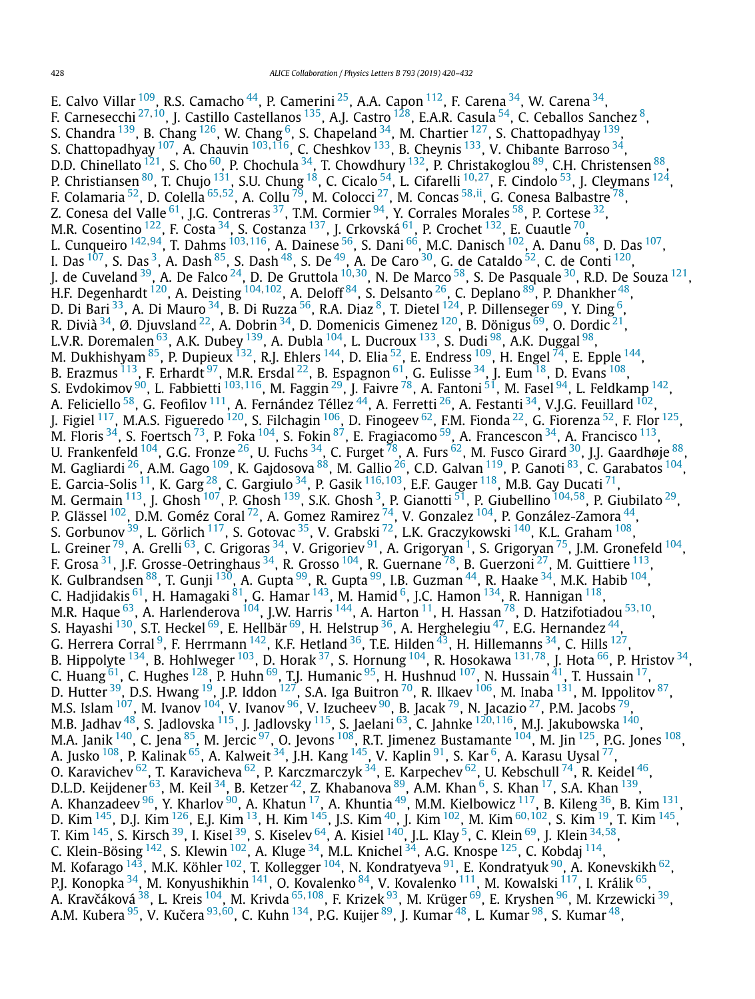E. Calvo Villar <sup>109</sup>, R.S. Camacho <sup>44</sup>, P. Camerini <sup>25</sup>, A.A. Capon <sup>112</sup>, F. Carena <sup>34</sup>, W. Carena <sup>34</sup>, F. Carnesecchi <sup>27,10</sup>, J. Castillo Castellanos <sup>135</sup>, A.J. Castro <sup>128</sup>, E.A.R. Casula <sup>54</sup>, C. Ceballos Sanchez <sup>8</sup>, S. Chandra  $^{139}$ , B. Chang  $^{126}$ , W. Chang  $^6$ , S. Chapeland  $^{34}$ , M. Chartier  $^{127}$ , S. Chattopadhyay  $^{139}$ , S. Chattopadhyay 107, A. Chauvin <sup>103</sup>*,*116, C. Cheshkov 133, B. Cheynis 133, V. Chibante Barroso 34, D.D. Chinellato  $^{121}$ , S. Cho $^{60}$ , P. Chochula  $^{34}$ , T. Chowdhury  $^{132}$ , P. Christakoglou  $^{89}$ , C.H. Christensen  $^{88}$ , P. Christiansen 80, T. Chujo 131, S.U. Chung 18, C. Cicalo 54, L. Cifarelli <sup>10</sup>*,*27, F. Cindolo 53, J. Cleymans 124, F. Colamaria 52, D. Colella <sup>65</sup>*,*52, A. Collu 79, M. Colocci 27, M. Concas <sup>58</sup>*,*ii, G. Conesa Balbastre 78, Z. Conesa del Valle  $61$ , J.G. Contreras  $37$ , T.M. Cormier  $94$ , Y. Corrales Morales  $58$ , P. Cortese  $32$ , M.R. Cosentino  $^{122}$ , F. Costa  $^{34}$ , S. Costanza  $^{137}$ , J. Crkovská  $^{61}$ , P. Crochet  $^{132}$ , E. Cuautle  $^{70}$ , L. Cunqueiro <sup>142</sup>*,*94, T. Dahms <sup>103</sup>*,*116, A. Dainese 56, S. Dani 66, M.C. Danisch 102, A. Danu 68, D. Das 107, I. Das  $^{107}$ , S. Das  $^3$ , A. Dash  $^{85}$ , S. Dash  $^{48}$ , S. De  $^{49}$ , A. De Caro  $^{30}$ , G. de Cataldo  $^{52}$ , C. de Conti  $^{120}$ , J. de Cuveland 39, A. De Falco 24, D. De Gruttola <sup>10</sup>*,*30, N. De Marco 58, S. De Pasquale 30, R.D. De Souza 121, H.F. Degenhardt 120, A. Deisting <sup>104</sup>*,*102, A. Deloff 84, S. Delsanto 26, C. Deplano 89, P. Dhankher 48, D. Di Bari $^{33}$ , A. Di Mauro $^{34}$ , B. Di Ruzza $^{56}$ , R.A. Diaz $^8$ , T. Dietel $^{124}$ , P. Dillenseger $^{69}$ , Y. Ding $^6$ , R. Divià  $^{34}$ , Ø. Djuvsland  $^{22}$ , A. Dobrin  $^{34}$ , D. Domenicis Gimenez  $^{120}$ , B. Dönigus  $^{69}$ , O. Dordic  $^{21}$ , L.V.R. Doremalen  $^{63}$ , A.K. Dubey  $^{139}$ , A. Dubla  $^{104}$ , L. Ducroux  $^{133}$ , S. Dudi  $^{98}$ , A.K. Duggal  $^{98}$ , M. Dukhishyam  $^{85}$ , P. Dupieux  $^{132}$ , R.J. Ehlers  $^{144}$ , D. Elia  $^{52}$ , E. Endress  $^{109}$ , H. Engel  $^{74}$ , E. Epple  $^{144}$ , B. Erazmus  $^{113}$ , F. Erhardt  $^{97}$ , M.R. Ersdal  $^{22}$ , B. Espagnon  $^{61}$ , G. Eulisse  $^{34}$ , J. Eum  $^{18}$ , D. Evans  $^{108}$ , S. Evdokimov 90, L. Fabbietti <sup>103</sup>*,*116, M. Faggin 29, J. Faivre 78, A. Fantoni 51, M. Fasel 94, L. Feldkamp 142, A. Feliciello  $^{58}$ , G. Feofilov  $^{111}$ , A. Fernández Téllez  $^{44}$ , A. Ferretti  $^{26}$ , A. Festanti  $^{34}$ , V.J.G. Feuillard  $^{102}$ , J. Figiel  $^{117}$ , M.A.S. Figueredo  $^{120}$ , S. Filchagin  $^{106}$ , D. Finogeev  $^{62}$ , F.M. Fionda  $^{22}$ , G. Fiorenza  $^{52}$ , F. Flor  $^{125}$ , M. Floris  $^{34}$ , S. Foertsch  $^{73}$ , P. Foka  $^{104}$ , S. Fokin  $^{87}$ , E. Fragiacomo  $^{59}$ , A. Francescon  $^{34}$ , A. Francisco  $^{113}$ , U. Frankenfeld  $^{104}$ , G.G. Fronze  $^{26}$ , U. Fuchs  $^{34}$ , C. Furget  $^{78}$ , A. Furs  $^{62}$ , M. Fusco Girard  $^{30}$ , J.J. Gaardhøje  $^{88}$ , M. Gagliardi <sup>26</sup>, A.M. Gago <sup>109</sup>, K. Gajdosova <sup>88</sup>, M. Gallio <sup>26</sup>, C.D. Galvan <sup>119</sup>, P. Ganoti <sup>83</sup>, C. Garabatos <sup>104</sup>, E. Garcia-Solis 11, K. Garg 28, C. Gargiulo 34, P. Gasik <sup>116</sup>*,*103, E.F. Gauger 118, M.B. Gay Ducati 71, M. Germain 113, J. Ghosh 107, P. Ghosh 139, S.K. Ghosh 3, P. Gianotti 51, P. Giubellino <sup>104</sup>*,*58, P. Giubilato 29, P. Glässel <sup>102</sup>, D.M. Goméz Coral <sup>72</sup>, A. Gomez Ramirez <sup>74</sup>, V. Gonzalez <sup>104</sup>, P. González-Zamora <sup>44</sup>, S. Gorbunov<sup>39</sup>, L. Görlich <sup>117</sup>, S. Gotovac<sup>35</sup>, V. Grabski <sup>72</sup>, L.K. Graczykowski  $^{140}$ , K.L. Graham  $^{108}$ , L. Greiner <sup>79</sup>, A. Grelli <sup>63</sup>, C. Grigoras <sup>34</sup>, V. Grigoriev <sup>91</sup>, A. Grigoryan <sup>1</sup>, S. Grigoryan <sup>75</sup>, J.M. Gronefeld <sup>104</sup>, F. Grosa  $^{31}$ , J.F. Grosse-Oetringhaus  $^{34}$ , R. Grosso  $^{104}$ , R. Guernane  $^{78}$ , B. Guerzoni  $^{27}$ , M. Guittiere  $^{113}$ , K. Gulbrandsen  $^{88}$ , T. Gunji  $^{130}$ , A. Gupta  $^{99}$ , R. Gupta  $^{99}$ , I.B. Guzman  $^{44}$ , R. Haake  $^{34}$ , M.K. Habib  $^{104}$ , C. Hadjidakis <sup>61</sup>, H. Hamagaki <sup>81</sup>, G. Hamar <sup>143</sup>, M. Hamid <sup>6</sup>, J.C. Hamon <sup>134</sup>, R. Hannigan <sup>118</sup>, M.R. Haque 63, A. Harlenderova 104, J.W. Harris 144, A. Harton 11, H. Hassan 78, D. Hatzifotiadou <sup>53</sup>*,*10, S. Hayashi <sup>130</sup>, S.T. Heckel <sup>69</sup>, E. Hellbär <sup>69</sup>, H. Helstrup <sup>36</sup>, A. Herghelegiu <sup>47</sup>, E.G. Hernandez <sup>44</sup>, G. Herrera Corral <sup>9</sup>, F. Herrmann  $^{142}$ , K.F. Hetland  $^{36}$ , T.E. Hilden  $^{43}$ , H. Hillemanns  $^{34}$ , C. Hills  $^{127}$ , B. Hippolyte  $^{134}$ , B. Hohlweger  $^{103}$ , D. Horak  $^{37}$ , S. Hornung  $^{104}$ , R. Hosokawa  $^{131,78}$ , J. Hota  $^{66}$ , P. Hristov  $^{34}$ , C. Huang  $^{61}$ , C. Hughes  $^{128}$ , P. Huhn  $^{69}$ , T.J. Humanic  $^{95}$ , H. Hushnud  $^{107}$ , N. Hussain  $^{41}$ , T. Hussain  $^{17}$ , D. Hutter  $^{39}$ , D.S. Hwang  $^{19}$ , J.P. Iddon  $^{127}$ , S.A. Iga Buitron  $^{70}$ , R. Ilkaev  $^{106}$ , M. Inaba  $^{131}$ , M. Ippolitov  $^{87}$ , M.S. Islam  $^{107}$ , M. Ivanov  $^{104}$ , V. Ivanov  $^{96}$ , V. Izucheev  $^{90}$ , B. Jacak  $^{79}$ , N. Jacazio  $^{27}$ , P.M. Jacobs  $^{79}$ , M.B. Jadhav 48, S. Jadlovska 115, J. Jadlovsky 115, S. Jaelani 63, C. Jahnke <sup>120</sup>*,*116, M.J. Jakubowska 140, M.A. Janik  $^{140}$ , C. Jena  $^{85}$ , M. Jercic  $^{97}$ , O. Jevons  $^{108}$ , R.T. Jimenez Bustamante  $^{104}$ , M. Jin  $^{125}$ , P.G. Jones  $^{108}$ , A. Jusko  $^{108}$ , P. Kalinak  $^{65}$ , A. Kalweit  $^{34}$ , J.H. Kang  $^{145}$ , V. Kaplin  $^{91}$ , S. Kar  $^6$ , A. Karasu Uysal  $^{77}$ , O. Karavichev  $^{62}$ , T. Karavicheva  $^{62}$ , P. Karczmarczyk  $^{34}$ , E. Karpechev  $^{62}$ , U. Kebschull  $^{74}$ , R. Keidel  $^{46}$ , D.L.D. Keijdener  $^{63}$ , M. Keil  $^{34}$ , B. Ketzer  $^{42}$ , Z. Khabanova  $^{89}$ , A.M. Khan  $^6$ , S. Khan  $^{17}$ , S.A. Khan  $^{139}$ , A. Khanzadeev <sup>96</sup>, Y. Kharlov <sup>90</sup>, A. Khatun <sup>17</sup>, A. Khuntia <sup>49</sup>, M.M. Kielbowicz <sup>117</sup>, B. Kileng <sup>36</sup>, B. Kim <sup>131</sup>, D. Kim 145, D.J. Kim 126, E.J. Kim 13, H. Kim 145, J.S. Kim 40, J. Kim 102, M. Kim <sup>60</sup>*,*102, S. Kim 19, T. Kim 145, T. Kim 145, S. Kirsch 39, I. Kisel 39, S. Kiselev 64, A. Kisiel 140, J.L. Klay 5, C. Klein 69, J. Klein <sup>34</sup>*,*58, C. Klein-Bösing  $^{142}$ , S. Klewin  $^{102}$ , A. Kluge  $^{34}$ , M.L. Knichel  $^{34}$ , A.G. Knospe  $^{125}$ , C. Kobdaj  $^{114}$ , M. Kofarago  $^{143}$ , M.K. Köhler  $^{102}$ , T. Kollegger  $^{104}$ , N. Kondratyeva  $^{91}$ , E. Kondratyuk  $^{90}$ , A. Konevskikh  $^{62}$ , P.J. Konopka <sup>34</sup>, M. Konyushikhin <sup>141</sup>, O. Kovalenko <sup>84</sup>, V. Kovalenko <sup>111</sup>, M. Kowalski <sup>117</sup>, I. Králik <sup>65</sup>, A. Kravčáková <sup>38</sup>, L. Kreis <sup>104</sup>, M. Krivda <sup>65,108</sup>, F. Krizek <sup>93</sup>, M. Krüger <sup>69</sup>, E. Kryshen <sup>96</sup>, M. Krzewicki <sup>39</sup>, A.M. Kubera <sup>95</sup>, V. Kučera <sup>93,60</sup>, C. Kuhn <sup>134</sup>, P.G. Kuijer <sup>89</sup>, J. Kumar <sup>48</sup>, L. Kumar <sup>98</sup>, S. Kumar <sup>48</sup>,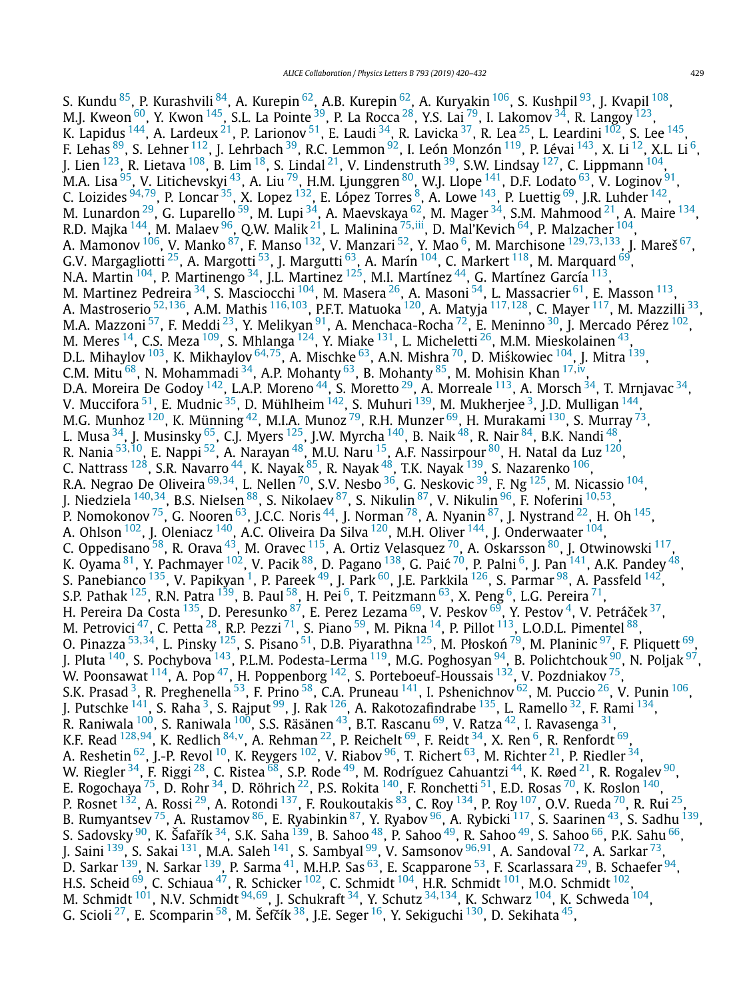S. Kundu <sup>85</sup>, P. Kurashvili <sup>84</sup>, A. Kurepin <sup>62</sup>, A.B. Kurepin <sup>62</sup>, A. Kuryakin <sup>106</sup>, S. Kushpil <sup>93</sup>, J. Kvapil <sup>108</sup>, M.J. Kweon $^{60}$ , Y. Kwon $^{145}$ , S.L. La Pointe $^{39}$ , P. La Rocca $^{28}$ , Y.S. Lai $^{79}$ , I. Lakomov $^{34}$ , R. Langoy $^{123}$ , K. Lapidus  $^{144}$ , A. Lardeux  $^{21}$ , P. Larionov  $^{51}$ , E. Laudi  $^{34}$ , R. Lavicka  $^{37}$ , R. Lea  $^{25}$ , L. Leardini  $^{102}$ , S. Lee  $^{145}$ , F. Lehas <sup>89</sup>, S. Lehner <sup>112</sup>, J. Lehrbach <sup>39</sup>, R.C. Lemmon <sup>92</sup>, I. León Monzón <sup>119</sup>, P. Lévai <sup>143</sup>, X. Li <sup>12</sup>, X.L. Li <sup>6</sup>, J. Lien  $^{123}$ , R. Lietava  $^{108}$ , B. Lim  $^{18}$ , S. Lindal  $^{21}$ , V. Lindenstruth  $^{39}$ , S.W. Lindsay  $^{127}$ , C. Lippmann  $^{104}$ , M.A. Lisa <sup>95</sup>, V. Litichevskyi <sup>43</sup>, A. Liu <sup>79</sup>, H.M. Ljunggren <sup>80</sup>, W.J. Llope <sup>141</sup>, D.F. Lodato <sup>63</sup>, V. Loginov <sup>91</sup>, C. Loizides <sup>94,79</sup>, P. Loncar<sup>35</sup>, X. Lopez <sup>132</sup>, E. López Torres <sup>8</sup>, A. Lowe <sup>143</sup>, P. Luettig <sup>69</sup>, J.R. Luhder <sup>142</sup>, M. Lunardon $^{29}$ , G. Luparello $^{59}$ , M. Lupi $^{34}$ , A. Maevskaya $^{62}$ , M. Mager $^{34}$ , S.M. Mahmood $^{21}$ , A. Maire $^{134}$ , R.D. Majka 144, M. Malaev 96, Q.W. Malik 21, L. Malinina <sup>75</sup>*,*iii, D. Mal'Kevich 64, P. Malzacher 104, A. Mamonov 106, V. Manko 87, F. Manso 132, V. Manzari 52, Y. Mao 6, M. Marchisone <sup>129</sup>*,*73*,*133, J. Mareš 67, G.V. Margagliotti  $^{25}$ , A. Margotti  $^{53}$ , J. Margutti  $^{63}$ , A. Marín  $^{104}$ , C. Markert  $^{118}$ , M. Marquard  $^{69}$ , N.A. Martin <sup>104</sup>, P. Martinengo <sup>34</sup>, J.L. Martinez <sup>125</sup>, M.I. Martínez <sup>44</sup>, G. Martínez García <sup>113</sup>, M. Martinez Pedreira $^{\,34}$ , S. Masciocchi  $^{\,104}$ , M. Masera $^{\,26}$ , A. Masoni $^{\,54}$ , L. Massacrier $^{\,61}$ , E. Masson $^{\,113}$ , A. Mastroserio <sup>52</sup>*,*136, A.M. Mathis <sup>116</sup>*,*103, P.F.T. Matuoka 120, A. Matyja <sup>117</sup>*,*128, C. Mayer 117, M. Mazzilli 33, M.A. Mazzoni <sup>57</sup>, F. Meddi <sup>23</sup>, Y. Melikyan <sup>91</sup>, A. Menchaca-Rocha <sup>72</sup>, E. Meninno <sup>30</sup>, J. Mercado Pérez <sup>102</sup>, M. Meres  $^{14}$ , C.S. Meza  $^{109}$ , S. Mhlanga  $^{124}$ , Y. Miake  $^{131}$ , L. Micheletti  $^{26}$ , M.M. Mieskolainen  $^{43},$ D.L. Mihaylov <sup>103</sup>, K. Mikhaylov <sup>64,75</sup>, A. Mischke <sup>63</sup>, A.N. Mishra <sup>70</sup>, D. Miśkowiec <sup>104</sup>, J. Mitra <sup>139</sup>, C.M. Mitu<sup>68</sup>, N. Mohammadi <sup>34</sup>, A.P. Mohanty <sup>63</sup>, B. Mohanty <sup>85</sup>, M. Mohisin Khan <sup>17,iv</sup>, D.A. Moreira De Godoy  $^{142}$ , L.A.P. Moreno  $^{44}$ , S. Moretto  $^{29}$ , A. Morreale  $^{113}$ , A. Morsch  $^{34}$ , T. Mrnjavac  $^{34},$ V. Muccifora  $51$ , E. Mudnic  $35$ , D. Mühlheim  $142$ , S. Muhuri  $139$ , M. Mukherjee  $3$ , J.D. Mulligan  $144$ , M.G. Munhoz <sup>120</sup>, K. Münning <sup>42</sup>, M.I.A. Munoz <sup>79</sup>, R.H. Munzer <sup>69</sup>, H. Murakami <sup>130</sup>, S. Murray <sup>73</sup>, L. Musa  $^{34}$ , J. Musinsky  $^{65}$ , C.J. Myers  $^{125}$ , J.W. Myrcha  $^{140}$ , B. Naik  $^{48}$ , R. Nair  $^{84}$ , B.K. Nandi  $^{48}$ , R. Nania <sup>53</sup>*,*10, E. Nappi 52, A. Narayan 48, M.U. Naru 15, A.F. Nassirpour 80, H. Natal da Luz 120, C. Nattrass <sup>128</sup>, S.R. Navarro <sup>44</sup>, K. Nayak <sup>85</sup>, R. Nayak <sup>48</sup>, T.K. Nayak <sup>139</sup>, S. Nazarenko <sup>106</sup>, R.A. Negrao De Oliveira <sup>69</sup>*,*34, L. Nellen 70, S.V. Nesbo 36, G. Neskovic 39, F. Ng 125, M. Nicassio 104, J. Niedziela <sup>140</sup>*,*34, B.S. Nielsen 88, S. Nikolaev 87, S. Nikulin 87, V. Nikulin 96, F. Noferini <sup>10</sup>*,*53, P. Nomokonov  $^{75}$ , G. Nooren  $^{63}$ , J.C.C. Noris  $^{44}$ , J. Norman  $^{78}$ , A. Nyanin  $^{87}$ , J. Nystrand  $^{22}$ , H. Oh  $^{145}$ , A. Ohlson  $^{102}$ , J. Oleniacz  $^{140}$ , A.C. Oliveira Da Silva  $^{120}$ , M.H. Oliver  $^{144}$ , J. Onderwaater  $^{104}$ , C. Oppedisano  $^{58}$ , R. Orava  $^{43}$ , M. Oravec  $^{115}$ , A. Ortiz Velasquez  $^{70}$ , A. Oskarsson  $^{80}$ , J. Otwinowski  $^{117}$ , K. Oyama  $^{81}$ , Y. Pachmayer  $^{102}$ , V. Pacik  $^{88}$ , D. Pagano  $^{138}$ , G. Paić  $^{70}$ , P. Palni  $^6$ , J. Pan  $^{141}$ , A.K. Pandey  $^{48}$ , S. Panebianco <sup>135</sup>, V. Papikyan <sup>1</sup>, P. Pareek <sup>49</sup>, J. Park <sup>60</sup>, J.E. Parkkila <sup>126</sup>, S. Parmar <sup>98</sup>, A. Passfeld <sup>142</sup>, S.P. Pathak  $^{125}$ , R.N. Patra  $^{139}$ , B. Paul  $^{58}$ , H. Pei  $^6$ , T. Peitzmann  $^{63}$ , X. Peng  $^6$ , L.G. Pereira  $^{71}$ , H. Pereira Da Costa $^{135}$ , D. Peresunko $^{87}$ , E. Perez Lezama $^{69}$ , V. Peskov $^{69}$ , Y. Pestov $^4$ , V. Petráček $^{37},$ M. Petrovici  $^{47}$ , C. Petta  $^{28}$ , R.P. Pezzi  $^{71}$ , S. Piano  $^{59}$ , M. Pikna  $^{14}$ , P. Pillot  $^{113}$ , L.O.D.L. Pimentel  $^{88}$ , O. Pinazza <sup>53,34</sup>, L. Pinsky <sup>125</sup>, S. Pisano <sup>51</sup>, D.B. Piyarathna <sup>125</sup>, M. Płoskoń <sup>79</sup>, M. Planinic <sup>97</sup>, F. Pliquett <sup>69</sup>, J. Pluta <sup>140</sup>, S. Pochybova <sup>143</sup>, P.L.M. Podesta-Lerma <sup>119</sup>, M.G. Poghosyan <sup>94</sup>, B. Polichtchouk <sup>90</sup>, N. Poljak <sup>97</sup>, W. Poonsawat  $^{114}$ , A. Pop $^{47}$ , H. Poppenborg  $^{142}$ , S. Porteboeuf-Houssais  $^{132}$ , V. Pozdniakov  $^{75},$ S.K. Prasad<sup>3</sup>, R. Preghenella<sup>53</sup>, F. Prino <sup>58</sup>, C.A. Pruneau <sup>141</sup>, I. Pshenichnov <sup>62</sup>, M. Puccio <sup>26</sup>, V. Punin <sup>106</sup>, J. Putschke <sup>141</sup>, S. Raha <sup>3</sup>, S. Rajput <sup>99</sup>, J. Rak <sup>126</sup>, A. Rakotozafindrabe <sup>135</sup>, L. Ramello <sup>32</sup>, F. Rami <sup>134</sup>, R. Raniwala <sup>100</sup>, S. Raniwala <sup>100</sup>, S.S. Räsänen <sup>43</sup>, B.T. Rascanu <sup>69</sup>, V. Ratza <sup>42</sup>, I. Ravasenga <sup>31</sup>, K.F. Read <sup>128</sup>*,*94, K. Redlich <sup>84</sup>*,*v, A. Rehman 22, P. Reichelt 69, F. Reidt 34, X. Ren 6, R. Renfordt 69, A. Reshetin  $^{62}$ , J.-P. Revol  $^{10}$ , K. Reygers  $^{102}$ , V. Riabov  $^{96}$ , T. Richert  $^{63}$ , M. Richter  $^{21}$ , P. Riedler  $^{34}$ . W. Riegler  $^{34}$ , F. Riggi  $^{28}$ , C. Ristea  $^{68}$ , S.P. Rode  $^{49}$ , M. Rodríguez Cahuantzi  $^{44}$ , K. Røed  $^{21}$ , R. Rogalev  $^{90}$ , E. Rogochaya  $^{75}$ , D. Rohr $^{34}$ , D. Röhrich  $^{22}$ , P.S. Rokita  $^{140}$ , F. Ronchetti  $^{51}$ , E.D. Rosas  $^{70}$ , K. Roslon  $^{140}$ , P. Rosnet  $^{132}$ , A. Rossi  $^{29}$ , A. Rotondi  $^{137}$ , F. Roukoutakis  $^{83}$ , C. Roy  $^{134}$ , P. Roy  $^{107}$ , O.V. Rueda  $^{70}$ , R. Rui  $^{25}$ , B. Rumyantsev <sup>75</sup>, A. Rustamov <sup>86</sup>, E. Ryabinkin <sup>87</sup>, Y. Ryabov <sup>96</sup>, A. Rybicki <sup>117</sup>, S. Saarinen <sup>43</sup>, S. Sadhu <sup>139</sup>, S. Sadovsky  $90$ , K. Šafařík<sup>34</sup>, S.K. Saha <sup>139</sup>, B. Sahoo <sup>48</sup>, P. Sahoo <sup>49</sup>, R. Sahoo <sup>49</sup>, S. Sahoo <sup>66</sup>, P.K. Sahu <sup>66</sup>, J. Saini 139, S. Sakai 131, M.A. Saleh 141, S. Sambyal 99, V. Samsonov <sup>96</sup>*,*91, A. Sandoval 72, A. Sarkar 73, D. Sarkar <sup>139</sup>, N. Sarkar <sup>139</sup>, P. Sarma <sup>41</sup>, M.H.P. Sas <sup>63</sup>, E. Scapparone <sup>53</sup>, F. Scarlassara <sup>29</sup>, B. Schaefer <sup>94</sup>, H.S. Scheid <sup>69</sup>, C. Schiaua <sup>47</sup>, R. Schicker <sup>102</sup>, C. Schmidt <sup>104</sup>, H.R. Schmidt <sup>101</sup>, M.O. Schmidt <sup>102</sup>, M. Schmidt 101, N.V. Schmidt <sup>94</sup>*,*69, J. Schukraft 34, Y. Schutz <sup>34</sup>*,*134, K. Schwarz 104, K. Schweda 104, G. Scioli <sup>27</sup>, E. Scomparin <sup>58</sup>, M. Šefčík <sup>38</sup>, J.E. Seger <sup>16</sup>, Y. Sekiguchi <sup>130</sup>, D. Sekihata <sup>45</sup>,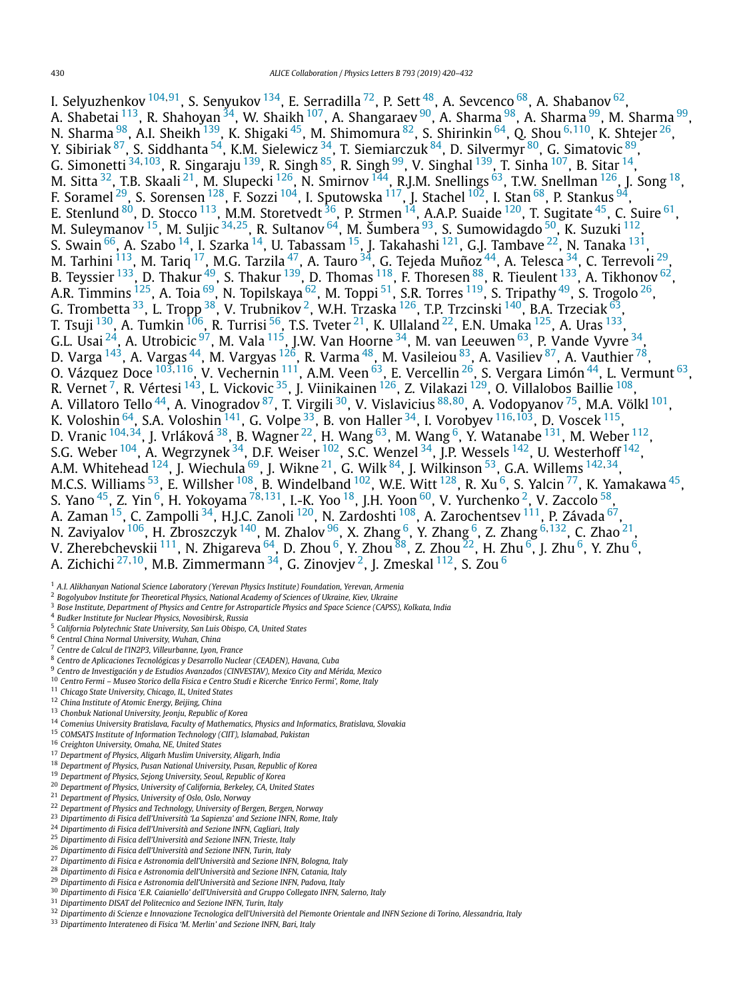I. Selyuzhenkov <sup>104,91</sup>, S. Senyukov <sup>134</sup>, E. Serradilla <sup>72</sup>, P. Sett <sup>48</sup>, A. Sevcenco <sup>68</sup>, A. Shabanov <sup>62</sup>, A. Shabetai <sup>113</sup>, R. Shahoyan <sup>34</sup>, W. Shaikh <sup>107</sup>, A. Shangaraev <sup>90</sup>, A. Sharma <sup>98</sup>, A. Sharma <sup>99</sup>, M. Sharma <sup>99</sup>, N. Sharma 98, A.I. Sheikh 139, K. Shigaki 45, M. Shimomura 82, S. Shirinkin 64, Q. Shou <sup>6</sup>*,*110, K. Shtejer 26, Y. Sibiriak <sup>87</sup>, S. Siddhanta <sup>54</sup>, K.M. Sielewicz <sup>34</sup>, T. Siemiarczuk <sup>84</sup>, D. Silvermyr <sup>80</sup>, G. Simatovic <sup>89</sup>, G. Simonetti <sup>34, 103</sup>, R. Singaraju <sup>139</sup>, R. Singh <sup>85</sup>, R. Singh <sup>99</sup>, V. Singhal <sup>139</sup>, T. Sinha <sup>107</sup>, B. Sitar <sup>14</sup>, M. Sitta  $^{32}$ , T.B. Skaali  $^{21}$ , M. Slupecki  $^{126}$ , N. Smirnov  $^{144}$ , R.J.M. Snellings  $^{63}$ , T.W. Snellman  $^{126}$ , J. Song  $^{18}$ , F. Soramel  $^{29}$ , S. Sorensen  $^{128}$ , F. Sozzi  $^{104}$ , I. Sputowska  $^{117}$ , J. Stachel  $^{102}$ , I. Stan  $^{68}$ , P. Stankus  $^{94}$ , E. Stenlund  $^{80}$ , D. Stocco  $^{113}$ , M.M. Storetvedt  $^{36}$ , P. Strmen  $^{14}$ , A.A.P. Suaide  $^{120}$ , T. Sugitate  $^{45}$ , C. Suire  $^{61}$ , M. Suleymanov 15, M. Suljic <sup>34</sup>*,*25, R. Sultanov 64, M. Šumbera 93, S. Sumowidagdo 50, K. Suzuki 112, S. Swain  $^{66}$ , A. Szabo  $^{14}$ , I. Szarka  $^{14}$ , U. Tabassam  $^{15}$ , J. Takahashi  $^{121}$ , G.J. Tambave  $^{22}$ , N. Tanaka  $^{131}$ , M. Tarhini  $^{113}$ , M. Tariq  $^{17}$ , M.G. Tarzila  $^{47}$ , A. Tauro  $^{34}$ , G. Tejeda Muñoz  $^{44}$ , A. Telesca  $^{34}$ , C. Terrevoli  $^{29}$ , B. Teyssier <sup>133</sup>, D. Thakur <sup>49</sup>, S. Thakur <sup>139</sup>, D. Thomas <sup>118</sup>, F. Thoresen <sup>88</sup>, R. Tieulent <sup>133</sup>, A. Tikhonov <sup>62</sup>, A.R. Timmins  $^{125}$ , A. Toia  $^{69}$ , N. Topilskaya  $^{62}$ , M. Toppi  $^{51}$ , S.R. Torres  $^{119}$ , S. Tripathy  $^{49}$ , S. Trogolo  $^{26}$ , G. Trombetta  $^{33}$ , L. Tropp  $^{38}$ , V. Trubnikov  $^2$ , W.H. Trzaska  $^{126}$ , T.P. Trzcinski  $^{140}$ , B.A. Trzeciak  $^{63}$ , T. Tsuji  $^{130}$ , A. Tumkin  $^{106}$ , R. Turrisi  $^{56}$ , T.S. Tveter  $^{21}$ , K. Ullaland  $^{22}$ , E.N. Umaka  $^{125}$ , A. Uras  $^{133}$ , G.L. Usai $^{24}$ , A. Utrobicic $^{97}$ , M. Vala $^{115}$ , J.W. Van Hoorne $^{34}$ , M. van Leeuwen $^{63}$ , P. Vande Vyvre $^{34}$ , D. Varga  $^{143}$ , A. Vargas  $^{44}$ , M. Vargyas  $^{126}$ , R. Varma  $^{48}$ , M. Vasileiou  $^{83}$ , A. Vasiliev  $^{87}$ , A. Vauthier  $^{78}$ , O. Vázquez Doce <sup>103</sup>*,*116, V. Vechernin 111, A.M. Veen 63, E. Vercellin 26, S. Vergara Limón 44, L. Vermunt 63, R. Vernet <sup>7</sup>, R. Vértesi <sup>143</sup>, L. Vickovic <sup>35</sup>, J. Viinikainen <sup>126</sup>, Z. Vilakazi <sup>129</sup>, O. Villalobos Baillie <sup>108</sup>, A. Villatoro Tello 44, A. Vinogradov 87, T. Virgili 30, V. Vislavicius <sup>88</sup>*,*80, A. Vodopyanov 75, M.A. Völkl 101, K. Voloshin 64, S.A. Voloshin 141, G. Volpe 33, B. von Haller 34, I. Vorobyev <sup>116</sup>*,*103, D. Voscek 115, D. Vranic <sup>104</sup>*,*34, J. Vrláková 38, B. Wagner 22, H. Wang 63, M. Wang 6, Y. Watanabe 131, M. Weber 112, S.G. Weber  $^{104}$ , A. Wegrzynek  $^{34}$ , D.F. Weiser  $^{102}$ , S.C. Wenzel  $^{34}$ , J.P. Wessels  $^{142}$ , U. Westerhoff  $^{142}$ , A.M. Whitehead 124, J. Wiechula 69, J. Wikne 21, G. Wilk 84, J. Wilkinson 53, G.A. Willems <sup>142</sup>*,*34, M.C.S. Williams  $^{53}$ , E. Willsher  $^{108}$ , B. Windelband  $^{102}$ , W.E. Witt  $^{128}$ , R. Xu  $^6$ , S. Yalcin  $^{77}$ , K. Yamakawa  $^{45}$ , S. Yano 45, Z. Yin 6, H. Yokoyama <sup>78</sup>*,*131, I.-K. Yoo 18, J.H. Yoon 60, V. Yurchenko 2, V. Zaccolo 58, A. Zaman <sup>15</sup>, C. Zampolli <sup>34</sup>, H.J.C. Zanoli <sup>120</sup>, N. Zardoshti <sup>108</sup>, A. Zarochentsev <sup>111</sup>, P. Závada <sup>67</sup>, N. Zaviyalov 106, H. Zbroszczyk 140, M. Zhalov 96, X. Zhang 6, Y. Zhang 6, Z. Zhang <sup>6</sup>*,*132, C. Zhao 21, V. Zherebchevskii  $^{111}$ , N. Zhigareva  $^{64}$ , D. Zhou  $^6$ , Y. Zhou  $^{88}$ , Z. Zhou  $^{22}$ , H. Zhu  $^6$ , J. Zhu  $^6$ , Y. Zhu  $^6$ , A. Zichichi <sup>27</sup>*,*10, M.B. Zimmermann 34, G. Zinovjev 2, J. Zmeskal 112, S. Zou <sup>6</sup>

- <sup>1</sup> *A.I. Alikhanyan National Science Laboratory (Yerevan Physics Institute) Foundation, Yerevan, Armenia*
- <sup>2</sup> *Bogolyubov Institute for Theoretical Physics, National Academy of Sciences of Ukraine, Kiev, Ukraine*
- <sup>3</sup> Bose Institute, Department of Physics and Centre for Astroparticle Physics and Space Science (CAPSS), Kolkata, India
- <sup>4</sup> *Budker Institute for Nuclear Physics, Novosibirsk, Russia*
- <sup>5</sup> *California Polytechnic State University, San Luis Obispo, CA, United States*
- <sup>6</sup> *Central China Normal University, Wuhan, China*
- <sup>7</sup> *Centre de Calcul de l'IN2P3, Villeurbanne, Lyon, France*
- <sup>8</sup> *Centro de Aplicaciones Tecnológicas y Desarrollo Nuclear (CEADEN), Havana, Cuba*
- <sup>9</sup> *Centro de Investigación y de Estudios Avanzados (CINVESTAV), Mexico City and Mérida, Mexico*
- <sup>10</sup> *Centro Fermi – Museo Storico della Fisica e Centro Studi e Ricerche 'Enrico Fermi', Rome, Italy*
- <sup>11</sup> *Chicago State University, Chicago, IL, United States*
- <sup>12</sup> *China Institute of Atomic Energy, Beijing, China*
- <sup>13</sup> *Chonbuk National University, Jeonju, Republic of Korea*
- <sup>14</sup> *Comenius University Bratislava, Faculty of Mathematics, Physics and Informatics, Bratislava, Slovakia*
- <sup>15</sup> *COMSATS Institute of Information Technology (CIIT), Islamabad, Pakistan*
- <sup>16</sup> *Creighton University, Omaha, NE, United States*
- <sup>17</sup> *Department of Physics, Aligarh Muslim University, Aligarh, India*
- <sup>18</sup> *Department of Physics, Pusan National University, Pusan, Republic of Korea*
- <sup>19</sup> *Department of Physics, Sejong University, Seoul, Republic of Korea*
- <sup>20</sup> *Department of Physics, University of California, Berkeley, CA, United States*
- <sup>21</sup> *Department of Physics, University of Oslo, Oslo, Norway*
- <sup>22</sup> *Department of Physics and Technology, University of Bergen, Bergen, Norway*
- <sup>23</sup> *Dipartimento di Fisica dell'Università 'La Sapienza' and Sezione INFN, Rome, Italy*
- <sup>24</sup> *Dipartimento di Fisica dell'Università and Sezione INFN, Cagliari, Italy*
- <sup>25</sup> *Dipartimento di Fisica dell'Università and Sezione INFN, Trieste, Italy*
- <sup>26</sup> *Dipartimento di Fisica dell'Università and Sezione INFN, Turin, Italy*
- <sup>27</sup> *Dipartimento di Fisica e Astronomia dell'Università and Sezione INFN, Bologna, Italy*
- <sup>28</sup> *Dipartimento di Fisica e Astronomia dell'Università and Sezione INFN, Catania, Italy*
- <sup>29</sup> *Dipartimento di Fisica e Astronomia dell'Università and Sezione INFN, Padova, Italy*
- <sup>30</sup> *Dipartimento di Fisica 'E.R. Caianiello' dell'Università and Gruppo Collegato INFN, Salerno, Italy*
- <sup>31</sup> *Dipartimento DISAT del Politecnico and Sezione INFN, Turin, Italy*
- <sup>32</sup> Dipartimento di Scienze e Innovazione Tecnologica dell'Università del Piemonte Orientale and INFN Sezione di Torino, Alessandria, Italy
- <sup>33</sup> *Dipartimento Interateneo di Fisica 'M. Merlin' and Sezione INFN, Bari, Italy*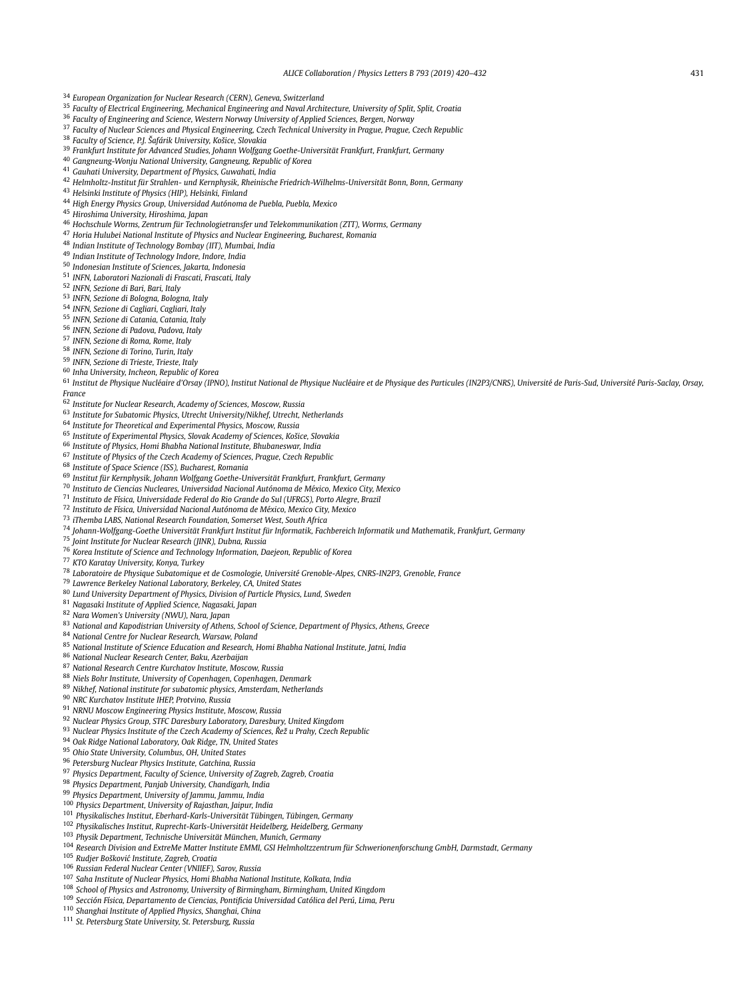- *European Organization for Nuclear Research (CERN), Geneva, Switzerland*
- *Faculty of Electrical Engineering, Mechanical Engineering and Naval Architecture, University of Split, Split, Croatia*
- *Faculty of Engineering and Science, Western Norway University of Applied Sciences, Bergen, Norway*
- *Faculty of Nuclear Sciences and Physical Engineering, Czech Technical University in Prague, Prague, Czech Republic*
- *Faculty of Science, P.J. Šafárik University, Košice, Slovakia*
- *Frankfurt Institute for Advanced Studies, Johann Wolfgang Goethe-Universität Frankfurt, Frankfurt, Germany*
- *Gangneung-Wonju National University, Gangneung, Republic of Korea*
- *Gauhati University, Department of Physics, Guwahati, India*
- *Helmholtz-Institut für Strahlen- und Kernphysik, Rheinische Friedrich-Wilhelms-Universität Bonn, Bonn, Germany*
- *Helsinki Institute of Physics (HIP), Helsinki, Finland*
- *High Energy Physics Group, Universidad Autónoma de Puebla, Puebla, Mexico*
- *Hiroshima University, Hiroshima, Japan*
- *Hochschule Worms, Zentrum für Technologietransfer und Telekommunikation (ZTT), Worms, Germany*
- *Horia Hulubei National Institute of Physics and Nuclear Engineering, Bucharest, Romania*
- *Indian Institute of Technology Bombay (IIT), Mumbai, India*
- *Indian Institute of Technology Indore, Indore, India*
- *Indonesian Institute of Sciences, Jakarta, Indonesia*
- *INFN, Laboratori Nazionali di Frascati, Frascati, Italy*
- *INFN, Sezione di Bari, Bari, Italy*
- *INFN, Sezione di Bologna, Bologna, Italy*
- *INFN, Sezione di Cagliari, Cagliari, Italy*
- *INFN, Sezione di Catania, Catania, Italy*
- *INFN, Sezione di Padova, Padova, Italy*
- *INFN, Sezione di Roma, Rome, Italy*
- *INFN, Sezione di Torino, Turin, Italy*
- *INFN, Sezione di Trieste, Trieste, Italy*
- *Inha University, Incheon, Republic of Korea*
- 61 Institut de Physique Nucléaire d'Orsay (IPNO), Institut National de Physique Nucléaire et de Physique des Particules (IN2P3/CNRS), Université de Paris-Sud, Université Paris-Saclay, Orsay, *France*
- *Institute for Nuclear Research, Academy of Sciences, Moscow, Russia*
- *Institute for Subatomic Physics, Utrecht University/Nikhef, Utrecht, Netherlands*
- *Institute for Theoretical and Experimental Physics, Moscow, Russia*
- *Institute of Experimental Physics, Slovak Academy of Sciences, Košice, Slovakia*
- *Institute of Physics, Homi Bhabha National Institute, Bhubaneswar, India*
- *Institute of Physics of the Czech Academy of Sciences, Prague, Czech Republic*
- *Institute of Space Science (ISS), Bucharest, Romania*
- *Institut für Kernphysik, Johann Wolfgang Goethe-Universität Frankfurt, Frankfurt, Germany*
- *Instituto de Ciencias Nucleares, Universidad Nacional Autónoma de México, Mexico City, Mexico*
- *Instituto de Física, Universidade Federal do Rio Grande do Sul (UFRGS), Porto Alegre, Brazil*
- *Instituto de Física, Universidad Nacional Autónoma de México, Mexico City, Mexico*
- *iThemba LABS, National Research Foundation, Somerset West, South Africa*
- *Johann-Wolfgang-Goethe Universität Frankfurt Institut für Informatik, Fachbereich Informatik und Mathematik, Frankfurt, Germany*
- *Joint Institute for Nuclear Research (JINR), Dubna, Russia*
- *Korea Institute of Science and Technology Information, Daejeon, Republic of Korea*
- *KTO Karatay University, Konya, Turkey*
- *Laboratoire de Physique Subatomique et de Cosmologie, Université Grenoble-Alpes, CNRS-IN2P3, Grenoble, France*
- *Lawrence Berkeley National Laboratory, Berkeley, CA, United States*
- *Lund University Department of Physics, Division of Particle Physics, Lund, Sweden*
- *Nagasaki Institute of Applied Science, Nagasaki, Japan*
- *Nara Women's University (NWU), Nara, Japan*
- *National and Kapodistrian University of Athens, School of Science, Department of Physics, Athens, Greece*
- *National Centre for Nuclear Research, Warsaw, Poland*
- *National Institute of Science Education and Research, Homi Bhabha National Institute, Jatni, India*
- *National Nuclear Research Center, Baku, Azerbaijan*
- *National Research Centre Kurchatov Institute, Moscow, Russia*
- *Niels Bohr Institute, University of Copenhagen, Copenhagen, Denmark*
- *Nikhef, National institute for subatomic physics, Amsterdam, Netherlands*
- *NRC Kurchatov Institute IHEP, Protvino, Russia*
- *NRNU Moscow Engineering Physics Institute, Moscow, Russia*
- *Nuclear Physics Group, STFC Daresbury Laboratory, Daresbury, United Kingdom*
- *Nuclear Physics Institute of the Czech Academy of Sciences, Rež ˇ u Prahy, Czech Republic*
- *Oak Ridge National Laboratory, Oak Ridge, TN, United States*
- *Ohio State University, Columbus, OH, United States*
- *Petersburg Nuclear Physics Institute, Gatchina, Russia*
- *Physics Department, Faculty of Science, University of Zagreb, Zagreb, Croatia*
- *Physics Department, Panjab University, Chandigarh, India*
- *Physics Department, University of Jammu, Jammu, India*
- *Physics Department, University of Rajasthan, Jaipur, India*
- *Physikalisches Institut, Eberhard-Karls-Universität Tübingen, Tübingen, Germany*
- *Physikalisches Institut, Ruprecht-Karls-Universität Heidelberg, Heidelberg, Germany*
- *Physik Department, Technische Universität München, Munich, Germany*
- $^{104}$  Research Division and ExtreMe Matter Institute EMMI, GSI Helmholtzzentrum für Schwerionenforschung GmbH, Darmstadt, Germany
- *Rudjer Boškovi´c Institute, Zagreb, Croatia*
- *Russian Federal Nuclear Center (VNIIEF), Sarov, Russia*
- *Saha Institute of Nuclear Physics, Homi Bhabha National Institute, Kolkata, India*
- *School of Physics and Astronomy, University of Birmingham, Birmingham, United Kingdom*
- *Sección Física, Departamento de Ciencias, Pontificia Universidad Católica del Perú, Lima, Peru*
- *Shanghai Institute of Applied Physics, Shanghai, China*
- *St. Petersburg State University, St. Petersburg, Russia*